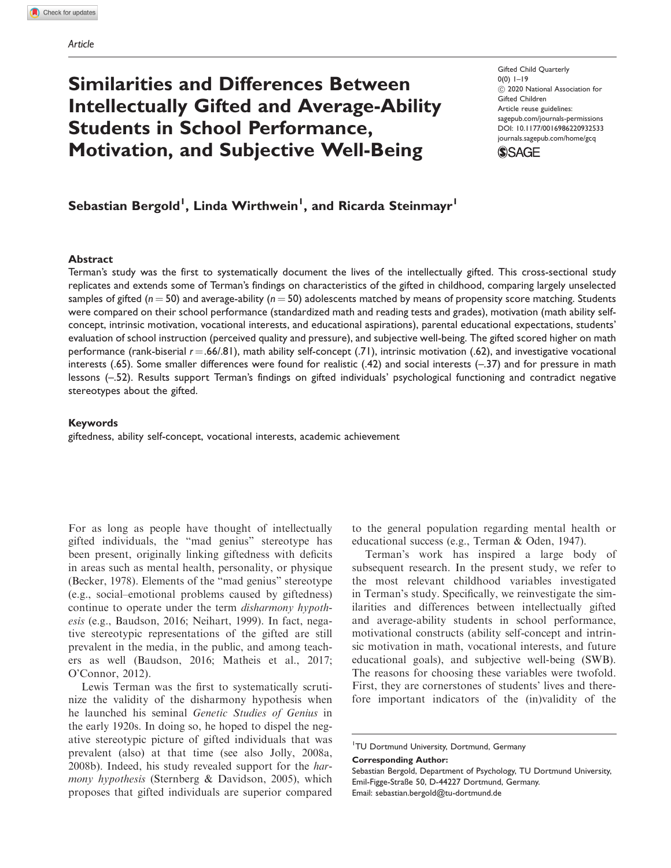# Similarities and Differences Between Intellectually Gifted and Average-Ability Students in School Performance, Motivation, and Subjective Well-Being

Gifted Child Quarterly  $0(0)$  1–19  $\odot$  2020 National Association for Gifted Children Article reuse guidelines: [sagepub.com/journals-permissions](http://us.sagepub.com/en-us/journals-permissions) [DOI: 10.1177/0016986220932533](http://dx.doi.org/10.1177/0016986220932533) <journals.sagepub.com/home/gcq>

**SSAGE** 

# Sebastian Bergold<sup>1</sup>, Linda Wirthwein<sup>1</sup>, and Ricarda Steinmayr<sup>1</sup>

#### Abstract

Terman's study was the first to systematically document the lives of the intellectually gifted. This cross-sectional study replicates and extends some of Terman's findings on characteristics of the gifted in childhood, comparing largely unselected samples of gifted ( $n = 50$ ) and average-ability ( $n = 50$ ) adolescents matched by means of propensity score matching. Students were compared on their school performance (standardized math and reading tests and grades), motivation (math ability selfconcept, intrinsic motivation, vocational interests, and educational aspirations), parental educational expectations, students' evaluation of school instruction (perceived quality and pressure), and subjective well-being. The gifted scored higher on math performance (rank-biserial  $r = .66/0.81$ ), math ability self-concept (.71), intrinsic motivation (.62), and investigative vocational interests (.65). Some smaller differences were found for realistic (.42) and social interests (–.37) and for pressure in math lessons (–.52). Results support Terman's findings on gifted individuals' psychological functioning and contradict negative stereotypes about the gifted.

#### Keywords

giftedness, ability self-concept, vocational interests, academic achievement

For as long as people have thought of intellectually gifted individuals, the "mad genius" stereotype has been present, originally linking giftedness with deficits in areas such as mental health, personality, or physique (Becker, 1978). Elements of the "mad genius" stereotype (e.g., social–emotional problems caused by giftedness) continue to operate under the term disharmony hypothesis (e.g., Baudson, 2016; Neihart, 1999). In fact, negative stereotypic representations of the gifted are still prevalent in the media, in the public, and among teachers as well (Baudson, 2016; Matheis et al., 2017; O'Connor, 2012).

Lewis Terman was the first to systematically scrutinize the validity of the disharmony hypothesis when he launched his seminal Genetic Studies of Genius in the early 1920s. In doing so, he hoped to dispel the negative stereotypic picture of gifted individuals that was prevalent (also) at that time (see also Jolly, 2008a, 2008b). Indeed, his study revealed support for the harmony hypothesis (Sternberg & Davidson, 2005), which proposes that gifted individuals are superior compared to the general population regarding mental health or educational success (e.g., Terman & Oden, 1947).

Terman's work has inspired a large body of subsequent research. In the present study, we refer to the most relevant childhood variables investigated in Terman's study. Specifically, we reinvestigate the similarities and differences between intellectually gifted and average-ability students in school performance, motivational constructs (ability self-concept and intrinsic motivation in math, vocational interests, and future educational goals), and subjective well-being (SWB). The reasons for choosing these variables were twofold. First, they are cornerstones of students' lives and therefore important indicators of the (in)validity of the

Corresponding Author:

<sup>1</sup> TU Dortmund University, Dortmund, Germany

Sebastian Bergold, Department of Psychology, TU Dortmund University, Emil-Figge-Straße 50, D-44227 Dortmund, Germany. Email: [sebastian.bergold@tu-dortmund.de](mailto:sebastian.bergold@tu-dortmund.de)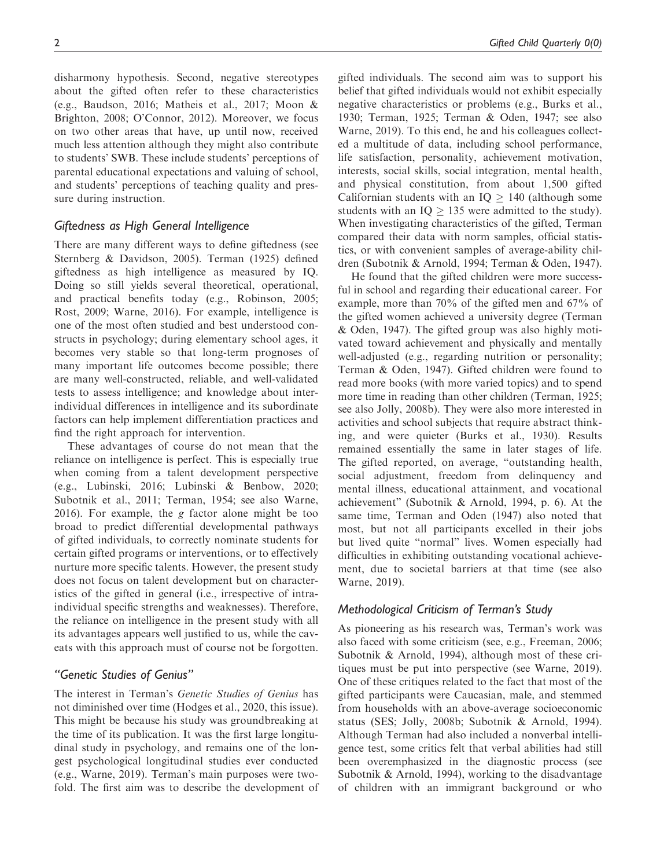disharmony hypothesis. Second, negative stereotypes about the gifted often refer to these characteristics (e.g., Baudson, 2016; Matheis et al., 2017; Moon & Brighton, 2008; O'Connor, 2012). Moreover, we focus on two other areas that have, up until now, received much less attention although they might also contribute to students' SWB. These include students' perceptions of parental educational expectations and valuing of school, and students' perceptions of teaching quality and pressure during instruction.

#### Giftedness as High General Intelligence

There are many different ways to define giftedness (see Sternberg & Davidson, 2005). Terman (1925) defined giftedness as high intelligence as measured by IQ. Doing so still yields several theoretical, operational, and practical benefits today (e.g., Robinson, 2005; Rost, 2009; Warne, 2016). For example, intelligence is one of the most often studied and best understood constructs in psychology; during elementary school ages, it becomes very stable so that long-term prognoses of many important life outcomes become possible; there are many well-constructed, reliable, and well-validated tests to assess intelligence; and knowledge about interindividual differences in intelligence and its subordinate factors can help implement differentiation practices and find the right approach for intervention.

These advantages of course do not mean that the reliance on intelligence is perfect. This is especially true when coming from a talent development perspective (e.g., Lubinski, 2016; Lubinski & Benbow, 2020; Subotnik et al., 2011; Terman, 1954; see also Warne, 2016). For example, the g factor alone might be too broad to predict differential developmental pathways of gifted individuals, to correctly nominate students for certain gifted programs or interventions, or to effectively nurture more specific talents. However, the present study does not focus on talent development but on characteristics of the gifted in general (i.e., irrespective of intraindividual specific strengths and weaknesses). Therefore, the reliance on intelligence in the present study with all its advantages appears well justified to us, while the caveats with this approach must of course not be forgotten.

# "Genetic Studies of Genius"

The interest in Terman's Genetic Studies of Genius has not diminished over time (Hodges et al., 2020, this issue). This might be because his study was groundbreaking at the time of its publication. It was the first large longitudinal study in psychology, and remains one of the longest psychological longitudinal studies ever conducted (e.g., Warne, 2019). Terman's main purposes were twofold. The first aim was to describe the development of gifted individuals. The second aim was to support his belief that gifted individuals would not exhibit especially negative characteristics or problems (e.g., Burks et al., 1930; Terman, 1925; Terman & Oden, 1947; see also Warne, 2019). To this end, he and his colleagues collected a multitude of data, including school performance, life satisfaction, personality, achievement motivation, interests, social skills, social integration, mental health, and physical constitution, from about 1,500 gifted Californian students with an  $IQ \geq 140$  (although some students with an  $IQ \geq 135$  were admitted to the study). When investigating characteristics of the gifted, Terman compared their data with norm samples, official statistics, or with convenient samples of average-ability children (Subotnik & Arnold, 1994; Terman & Oden, 1947).

He found that the gifted children were more successful in school and regarding their educational career. For example, more than 70% of the gifted men and 67% of the gifted women achieved a university degree (Terman & Oden, 1947). The gifted group was also highly motivated toward achievement and physically and mentally well-adjusted (e.g., regarding nutrition or personality; Terman & Oden, 1947). Gifted children were found to read more books (with more varied topics) and to spend more time in reading than other children (Terman, 1925; see also Jolly, 2008b). They were also more interested in activities and school subjects that require abstract thinking, and were quieter (Burks et al., 1930). Results remained essentially the same in later stages of life. The gifted reported, on average, "outstanding health, social adjustment, freedom from delinquency and mental illness, educational attainment, and vocational achievement" (Subotnik & Arnold, 1994, p. 6). At the same time, Terman and Oden (1947) also noted that most, but not all participants excelled in their jobs but lived quite "normal" lives. Women especially had difficulties in exhibiting outstanding vocational achievement, due to societal barriers at that time (see also Warne, 2019).

### Methodological Criticism of Terman's Study

As pioneering as his research was, Terman's work was also faced with some criticism (see, e.g., Freeman, 2006; Subotnik & Arnold, 1994), although most of these critiques must be put into perspective (see Warne, 2019). One of these critiques related to the fact that most of the gifted participants were Caucasian, male, and stemmed from households with an above-average socioeconomic status (SES; Jolly, 2008b; Subotnik & Arnold, 1994). Although Terman had also included a nonverbal intelligence test, some critics felt that verbal abilities had still been overemphasized in the diagnostic process (see Subotnik & Arnold, 1994), working to the disadvantage of children with an immigrant background or who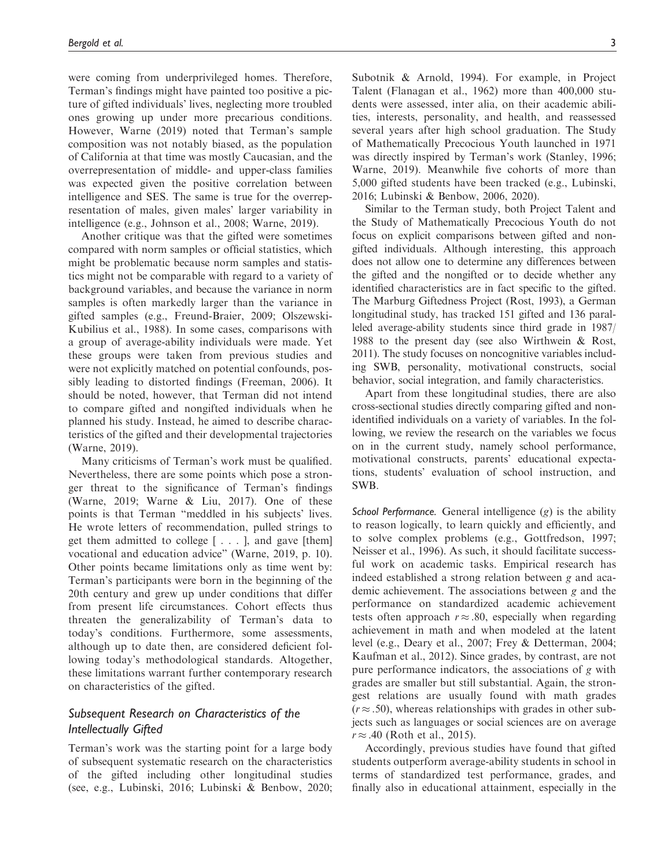were coming from underprivileged homes. Therefore, Terman's findings might have painted too positive a picture of gifted individuals' lives, neglecting more troubled ones growing up under more precarious conditions. However, Warne (2019) noted that Terman's sample composition was not notably biased, as the population of California at that time was mostly Caucasian, and the overrepresentation of middle- and upper-class families was expected given the positive correlation between intelligence and SES. The same is true for the overrepresentation of males, given males' larger variability in intelligence (e.g., Johnson et al., 2008; Warne, 2019).

Another critique was that the gifted were sometimes compared with norm samples or official statistics, which might be problematic because norm samples and statistics might not be comparable with regard to a variety of background variables, and because the variance in norm samples is often markedly larger than the variance in gifted samples (e.g., Freund-Braier, 2009; Olszewski-Kubilius et al., 1988). In some cases, comparisons with a group of average-ability individuals were made. Yet these groups were taken from previous studies and were not explicitly matched on potential confounds, possibly leading to distorted findings (Freeman, 2006). It should be noted, however, that Terman did not intend to compare gifted and nongifted individuals when he planned his study. Instead, he aimed to describe characteristics of the gifted and their developmental trajectories (Warne, 2019).

Many criticisms of Terman's work must be qualified. Nevertheless, there are some points which pose a stronger threat to the significance of Terman's findings (Warne, 2019; Warne & Liu, 2017). One of these points is that Terman "meddled in his subjects' lives. He wrote letters of recommendation, pulled strings to get them admitted to college [ . . . ], and gave [them] vocational and education advice" (Warne, 2019, p. 10). Other points became limitations only as time went by: Terman's participants were born in the beginning of the 20th century and grew up under conditions that differ from present life circumstances. Cohort effects thus threaten the generalizability of Terman's data to today's conditions. Furthermore, some assessments, although up to date then, are considered deficient following today's methodological standards. Altogether, these limitations warrant further contemporary research on characteristics of the gifted.

# Subsequent Research on Characteristics of the Intellectually Gifted

Terman's work was the starting point for a large body of subsequent systematic research on the characteristics of the gifted including other longitudinal studies (see, e.g., Lubinski, 2016; Lubinski & Benbow, 2020; Subotnik & Arnold, 1994). For example, in Project Talent (Flanagan et al., 1962) more than 400,000 students were assessed, inter alia, on their academic abilities, interests, personality, and health, and reassessed several years after high school graduation. The Study of Mathematically Precocious Youth launched in 1971 was directly inspired by Terman's work (Stanley, 1996; Warne, 2019). Meanwhile five cohorts of more than 5,000 gifted students have been tracked (e.g., Lubinski, 2016; Lubinski & Benbow, 2006, 2020).

Similar to the Terman study, both Project Talent and the Study of Mathematically Precocious Youth do not focus on explicit comparisons between gifted and nongifted individuals. Although interesting, this approach does not allow one to determine any differences between the gifted and the nongifted or to decide whether any identified characteristics are in fact specific to the gifted. The Marburg Giftedness Project (Rost, 1993), a German longitudinal study, has tracked 151 gifted and 136 paralleled average-ability students since third grade in 1987/ 1988 to the present day (see also Wirthwein & Rost, 2011). The study focuses on noncognitive variables including SWB, personality, motivational constructs, social behavior, social integration, and family characteristics.

Apart from these longitudinal studies, there are also cross-sectional studies directly comparing gifted and nonidentified individuals on a variety of variables. In the following, we review the research on the variables we focus on in the current study, namely school performance, motivational constructs, parents' educational expectations, students' evaluation of school instruction, and SWB.

School Performance. General intelligence  $(g)$  is the ability to reason logically, to learn quickly and efficiently, and to solve complex problems (e.g., Gottfredson, 1997; Neisser et al., 1996). As such, it should facilitate successful work on academic tasks. Empirical research has indeed established a strong relation between g and academic achievement. The associations between  $g$  and the performance on standardized academic achievement tests often approach  $r \approx .80$ , especially when regarding achievement in math and when modeled at the latent level (e.g., Deary et al., 2007; Frey & Detterman, 2004; Kaufman et al., 2012). Since grades, by contrast, are not pure performance indicators, the associations of g with grades are smaller but still substantial. Again, the strongest relations are usually found with math grades  $(r \approx .50)$ , whereas relationships with grades in other subjects such as languages or social sciences are on average  $r \approx .40$  (Roth et al., 2015).

Accordingly, previous studies have found that gifted students outperform average-ability students in school in terms of standardized test performance, grades, and finally also in educational attainment, especially in the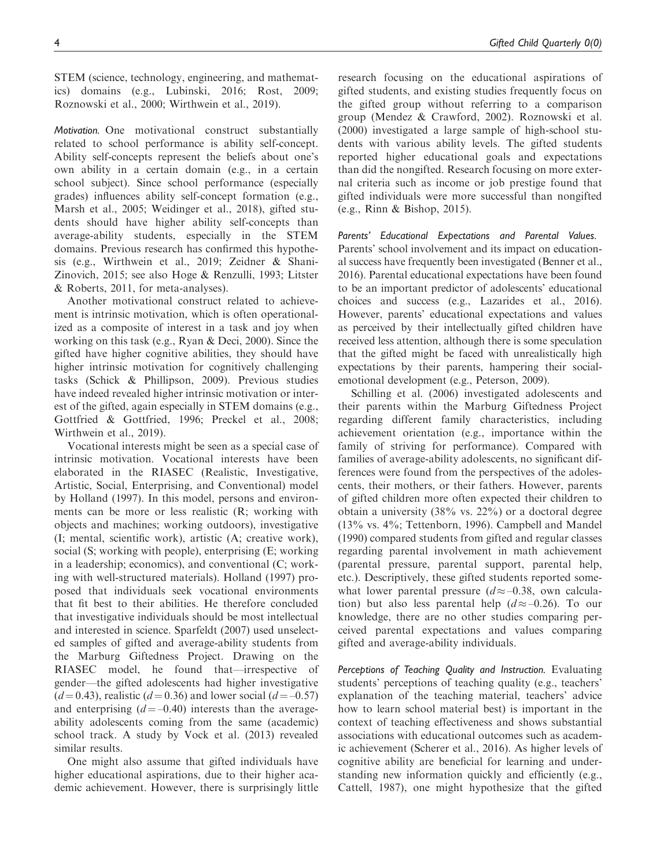STEM (science, technology, engineering, and mathematics) domains (e.g., Lubinski, 2016; Rost, 2009; Roznowski et al., 2000; Wirthwein et al., 2019).

Motivation. One motivational construct substantially related to school performance is ability self-concept. Ability self-concepts represent the beliefs about one's own ability in a certain domain (e.g., in a certain school subject). Since school performance (especially grades) influences ability self-concept formation (e.g., Marsh et al., 2005; Weidinger et al., 2018), gifted students should have higher ability self-concepts than average-ability students, especially in the STEM domains. Previous research has confirmed this hypothesis (e.g., Wirthwein et al., 2019; Zeidner & Shani-Zinovich, 2015; see also Hoge & Renzulli, 1993; Litster & Roberts, 2011, for meta-analyses).

Another motivational construct related to achievement is intrinsic motivation, which is often operationalized as a composite of interest in a task and joy when working on this task (e.g., Ryan & Deci, 2000). Since the gifted have higher cognitive abilities, they should have higher intrinsic motivation for cognitively challenging tasks (Schick & Phillipson, 2009). Previous studies have indeed revealed higher intrinsic motivation or interest of the gifted, again especially in STEM domains (e.g., Gottfried & Gottfried, 1996; Preckel et al., 2008; Wirthwein et al., 2019).

Vocational interests might be seen as a special case of intrinsic motivation. Vocational interests have been elaborated in the RIASEC (Realistic, Investigative, Artistic, Social, Enterprising, and Conventional) model by Holland (1997). In this model, persons and environments can be more or less realistic (R; working with objects and machines; working outdoors), investigative (I; mental, scientific work), artistic (A; creative work), social (S; working with people), enterprising (E; working in a leadership; economics), and conventional (C; working with well-structured materials). Holland (1997) proposed that individuals seek vocational environments that fit best to their abilities. He therefore concluded that investigative individuals should be most intellectual and interested in science. Sparfeldt (2007) used unselected samples of gifted and average-ability students from the Marburg Giftedness Project. Drawing on the RIASEC model, he found that—irrespective of gender—the gifted adolescents had higher investigative  $(d = 0.43)$ , realistic (d = 0.36) and lower social (d = -0.57) and enterprising  $(d = -0.40)$  interests than the averageability adolescents coming from the same (academic) school track. A study by Vock et al. (2013) revealed similar results.

One might also assume that gifted individuals have higher educational aspirations, due to their higher academic achievement. However, there is surprisingly little research focusing on the educational aspirations of gifted students, and existing studies frequently focus on the gifted group without referring to a comparison group (Mendez & Crawford, 2002). Roznowski et al. (2000) investigated a large sample of high-school students with various ability levels. The gifted students reported higher educational goals and expectations than did the nongifted. Research focusing on more external criteria such as income or job prestige found that gifted individuals were more successful than nongifted (e.g., Rinn & Bishop, 2015).

Parents' Educational Expectations and Parental Values. Parents' school involvement and its impact on educational success have frequently been investigated (Benner et al., 2016). Parental educational expectations have been found to be an important predictor of adolescents' educational choices and success (e.g., Lazarides et al., 2016). However, parents' educational expectations and values as perceived by their intellectually gifted children have received less attention, although there is some speculation that the gifted might be faced with unrealistically high expectations by their parents, hampering their socialemotional development (e.g., Peterson, 2009).

Schilling et al. (2006) investigated adolescents and their parents within the Marburg Giftedness Project regarding different family characteristics, including achievement orientation (e.g., importance within the family of striving for performance). Compared with families of average-ability adolescents, no significant differences were found from the perspectives of the adolescents, their mothers, or their fathers. However, parents of gifted children more often expected their children to obtain a university (38% vs. 22%) or a doctoral degree (13% vs. 4%; Tettenborn, 1996). Campbell and Mandel (1990) compared students from gifted and regular classes regarding parental involvement in math achievement (parental pressure, parental support, parental help, etc.). Descriptively, these gifted students reported somewhat lower parental pressure  $(d \approx -0.38$ , own calculation) but also less parental help  $(d \approx -0.26)$ . To our knowledge, there are no other studies comparing perceived parental expectations and values comparing gifted and average-ability individuals.

Perceptions of Teaching Quality and Instruction. Evaluating students' perceptions of teaching quality (e.g., teachers' explanation of the teaching material, teachers' advice how to learn school material best) is important in the context of teaching effectiveness and shows substantial associations with educational outcomes such as academic achievement (Scherer et al., 2016). As higher levels of cognitive ability are beneficial for learning and understanding new information quickly and efficiently (e.g., Cattell, 1987), one might hypothesize that the gifted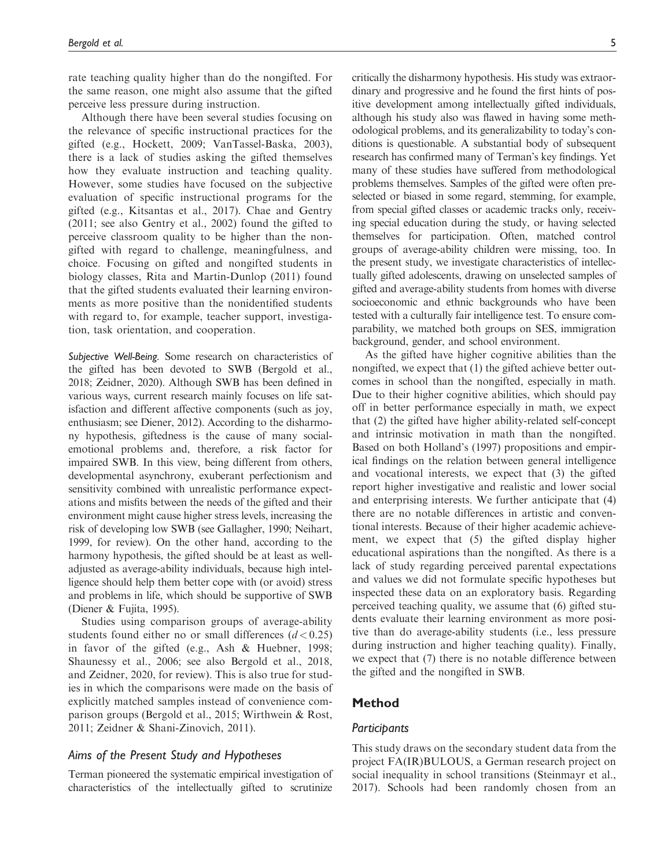rate teaching quality higher than do the nongifted. For the same reason, one might also assume that the gifted perceive less pressure during instruction.

Although there have been several studies focusing on the relevance of specific instructional practices for the gifted (e.g., Hockett, 2009; VanTassel-Baska, 2003), there is a lack of studies asking the gifted themselves how they evaluate instruction and teaching quality. However, some studies have focused on the subjective evaluation of specific instructional programs for the gifted (e.g., Kitsantas et al., 2017). Chae and Gentry (2011; see also Gentry et al., 2002) found the gifted to perceive classroom quality to be higher than the nongifted with regard to challenge, meaningfulness, and choice. Focusing on gifted and nongifted students in biology classes, Rita and Martin-Dunlop (2011) found that the gifted students evaluated their learning environments as more positive than the nonidentified students with regard to, for example, teacher support, investigation, task orientation, and cooperation.

Subjective Well-Being. Some research on characteristics of the gifted has been devoted to SWB (Bergold et al., 2018; Zeidner, 2020). Although SWB has been defined in various ways, current research mainly focuses on life satisfaction and different affective components (such as joy, enthusiasm; see Diener, 2012). According to the disharmony hypothesis, giftedness is the cause of many socialemotional problems and, therefore, a risk factor for impaired SWB. In this view, being different from others, developmental asynchrony, exuberant perfectionism and sensitivity combined with unrealistic performance expectations and misfits between the needs of the gifted and their environment might cause higher stress levels, increasing the risk of developing low SWB (see Gallagher, 1990; Neihart, 1999, for review). On the other hand, according to the harmony hypothesis, the gifted should be at least as welladjusted as average-ability individuals, because high intelligence should help them better cope with (or avoid) stress and problems in life, which should be supportive of SWB (Diener & Fujita, 1995).

Studies using comparison groups of average-ability students found either no or small differences  $(d < 0.25)$ in favor of the gifted (e.g., Ash & Huebner, 1998; Shaunessy et al., 2006; see also Bergold et al., 2018, and Zeidner, 2020, for review). This is also true for studies in which the comparisons were made on the basis of explicitly matched samples instead of convenience comparison groups (Bergold et al., 2015; Wirthwein & Rost, 2011; Zeidner & Shani-Zinovich, 2011).

### Aims of the Present Study and Hypotheses

Terman pioneered the systematic empirical investigation of characteristics of the intellectually gifted to scrutinize

critically the disharmony hypothesis. His study was extraordinary and progressive and he found the first hints of positive development among intellectually gifted individuals, although his study also was flawed in having some methodological problems, and its generalizability to today's conditions is questionable. A substantial body of subsequent research has confirmed many of Terman's key findings. Yet many of these studies have suffered from methodological problems themselves. Samples of the gifted were often preselected or biased in some regard, stemming, for example, from special gifted classes or academic tracks only, receiving special education during the study, or having selected themselves for participation. Often, matched control groups of average-ability children were missing, too. In the present study, we investigate characteristics of intellectually gifted adolescents, drawing on unselected samples of gifted and average-ability students from homes with diverse socioeconomic and ethnic backgrounds who have been tested with a culturally fair intelligence test. To ensure comparability, we matched both groups on SES, immigration background, gender, and school environment.

As the gifted have higher cognitive abilities than the nongifted, we expect that (1) the gifted achieve better outcomes in school than the nongifted, especially in math. Due to their higher cognitive abilities, which should pay off in better performance especially in math, we expect that (2) the gifted have higher ability-related self-concept and intrinsic motivation in math than the nongifted. Based on both Holland's (1997) propositions and empirical findings on the relation between general intelligence and vocational interests, we expect that (3) the gifted report higher investigative and realistic and lower social and enterprising interests. We further anticipate that (4) there are no notable differences in artistic and conventional interests. Because of their higher academic achievement, we expect that (5) the gifted display higher educational aspirations than the nongifted. As there is a lack of study regarding perceived parental expectations and values we did not formulate specific hypotheses but inspected these data on an exploratory basis. Regarding perceived teaching quality, we assume that (6) gifted students evaluate their learning environment as more positive than do average-ability students (i.e., less pressure during instruction and higher teaching quality). Finally, we expect that (7) there is no notable difference between the gifted and the nongifted in SWB.

#### Method

#### **Participants**

This study draws on the secondary student data from the project FA(IR)BULOUS, a German research project on social inequality in school transitions (Steinmayr et al., 2017). Schools had been randomly chosen from an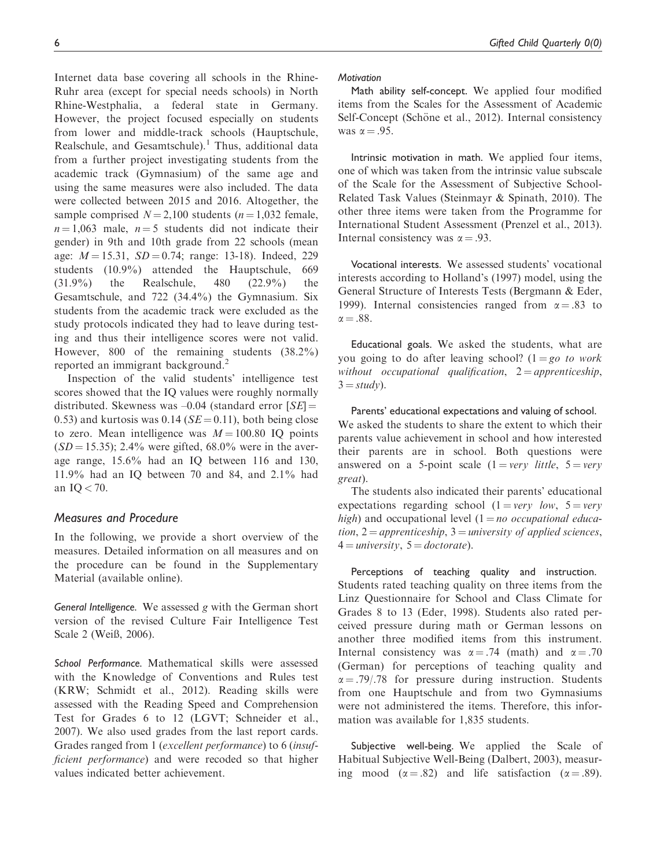Internet data base covering all schools in the Rhine-Ruhr area (except for special needs schools) in North Rhine-Westphalia, a federal state in Germany. However, the project focused especially on students from lower and middle-track schools (Hauptschule, Realschule, and Gesamtschule). $<sup>1</sup>$  Thus, additional data</sup> from a further project investigating students from the academic track (Gymnasium) of the same age and using the same measures were also included. The data were collected between 2015 and 2016. Altogether, the sample comprised  $N = 2,100$  students ( $n = 1,032$  female,  $n = 1,063$  male,  $n = 5$  students did not indicate their gender) in 9th and 10th grade from 22 schools (mean age:  $M = 15.31$ ,  $SD = 0.74$ ; range: 13-18). Indeed, 229 students (10.9%) attended the Hauptschule, 669 (31.9%) the Realschule, 480 (22.9%) the Gesamtschule, and 722 (34.4%) the Gymnasium. Six students from the academic track were excluded as the study protocols indicated they had to leave during testing and thus their intelligence scores were not valid. However, 800 of the remaining students (38.2%) reported an immigrant background.<sup>2</sup>

Inspection of the valid students' intelligence test scores showed that the IQ values were roughly normally distributed. Skewness was  $-0.04$  (standard error  $[SE] =$ 0.53) and kurtosis was 0.14 ( $SE = 0.11$ ), both being close to zero. Mean intelligence was  $M = 100.80$  IQ points  $(SD = 15.35)$ ; 2.4% were gifted, 68.0% were in the average range, 15.6% had an IQ between 116 and 130, 11.9% had an IQ between 70 and 84, and 2.1% had an IQ < 70.

# Measures and Procedure

In the following, we provide a short overview of the measures. Detailed information on all measures and on the procedure can be found in the Supplementary Material (available online).

General Intelligence. We assessed  $g$  with the German short version of the revised Culture Fair Intelligence Test Scale 2 (Weiß, 2006).

School Performance. Mathematical skills were assessed with the Knowledge of Conventions and Rules test (KRW; Schmidt et al., 2012). Reading skills were assessed with the Reading Speed and Comprehension Test for Grades 6 to 12 (LGVT; Schneider et al., 2007). We also used grades from the last report cards. Grades ranged from 1 (excellent performance) to 6 (insufficient performance) and were recoded so that higher values indicated better achievement.

#### **Motivation**

Math ability self-concept. We applied four modified items from the Scales for the Assessment of Academic Self-Concept (Schöne et al., 2012). Internal consistency was  $\alpha = .95$ .

Intrinsic motivation in math. We applied four items, one of which was taken from the intrinsic value subscale of the Scale for the Assessment of Subjective School-Related Task Values (Steinmayr & Spinath, 2010). The other three items were taken from the Programme for International Student Assessment (Prenzel et al., 2013). Internal consistency was  $\alpha = .93$ .

Vocational interests. We assessed students' vocational interests according to Holland's (1997) model, using the General Structure of Interests Tests (Bergmann & Eder, 1999). Internal consistencies ranged from  $\alpha = .83$  to  $\alpha = .88$ .

Educational goals. We asked the students, what are you going to do after leaving school?  $(1 = go \ to \ work)$ without occupational qualification,  $2 =$  apprenticeship,  $3 = study$ ).

Parents' educational expectations and valuing of school. We asked the students to share the extent to which their parents value achievement in school and how interested their parents are in school. Both questions were answered on a 5-point scale  $(1 = \text{very little}, 5 = \text{very}$ great).

The students also indicated their parents' educational expectations regarding school (1 = very low,  $5 = \text{very}$ ) high) and occupational level  $(1 = no \, occupational \, educational \, educational \,$ tion,  $2 =$  apprenticeship,  $3 =$  university of applied sciences,  $4 = university, 5 = doctorate).$ 

Perceptions of teaching quality and instruction. Students rated teaching quality on three items from the Linz Questionnaire for School and Class Climate for Grades 8 to 13 (Eder, 1998). Students also rated perceived pressure during math or German lessons on another three modified items from this instrument. Internal consistency was  $\alpha = .74$  (math) and  $\alpha = .70$ (German) for perceptions of teaching quality and  $\alpha = .79/0.78$  for pressure during instruction. Students from one Hauptschule and from two Gymnasiums were not administered the items. Therefore, this information was available for 1,835 students.

Subjective well-being. We applied the Scale of Habitual Subjective Well-Being (Dalbert, 2003), measuring mood ( $\alpha = .82$ ) and life satisfaction ( $\alpha = .89$ ).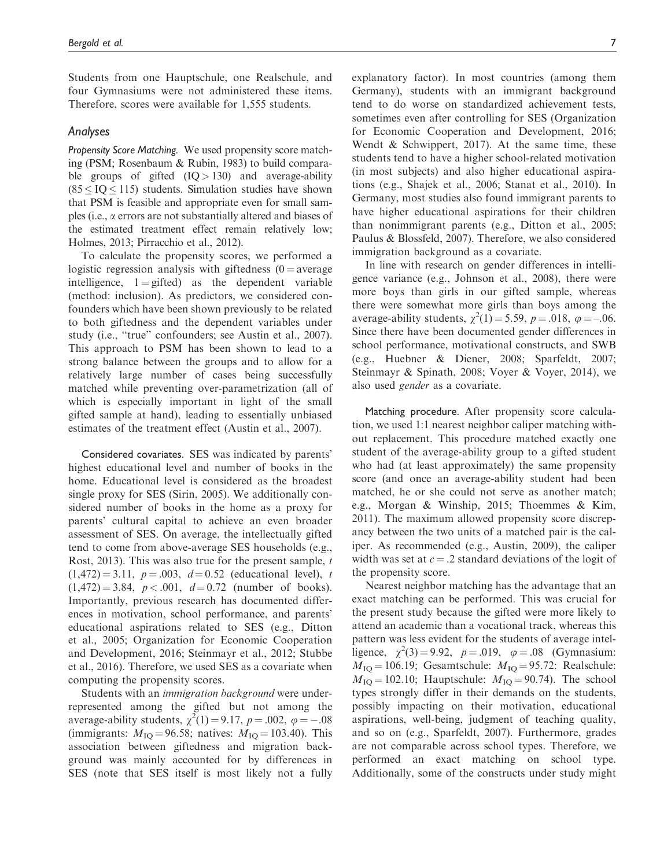Students from one Hauptschule, one Realschule, and four Gymnasiums were not administered these items. Therefore, scores were available for 1,555 students.

#### Analyses

Propensity Score Matching. We used propensity score matching (PSM; Rosenbaum & Rubin, 1983) to build comparable groups of gifted  $(IQ>130)$  and average-ability  $(85 < IQ < 115)$  students. Simulation studies have shown that PSM is feasible and appropriate even for small samples (i.e., a errors are not substantially altered and biases of the estimated treatment effect remain relatively low; Holmes, 2013; Pirracchio et al., 2012).

To calculate the propensity scores, we performed a logistic regression analysis with giftedness  $(0)$  = average intelligence,  $1 = \text{gifted}$  as the dependent variable (method: inclusion). As predictors, we considered confounders which have been shown previously to be related to both giftedness and the dependent variables under study (i.e., "true" confounders; see Austin et al., 2007). This approach to PSM has been shown to lead to a strong balance between the groups and to allow for a relatively large number of cases being successfully matched while preventing over-parametrization (all of which is especially important in light of the small gifted sample at hand), leading to essentially unbiased estimates of the treatment effect (Austin et al., 2007).

Considered covariates. SES was indicated by parents' highest educational level and number of books in the home. Educational level is considered as the broadest single proxy for SES (Sirin, 2005). We additionally considered number of books in the home as a proxy for parents' cultural capital to achieve an even broader assessment of SES. On average, the intellectually gifted tend to come from above-average SES households (e.g., Rost, 2013). This was also true for the present sample, t  $(1,472) = 3.11$ ,  $p = .003$ ,  $d = 0.52$  (educational level), t  $(1,472) = 3.84$ ,  $p < .001$ ,  $d = 0.72$  (number of books). Importantly, previous research has documented differences in motivation, school performance, and parents' educational aspirations related to SES (e.g., Ditton et al., 2005; Organization for Economic Cooperation and Development, 2016; Steinmayr et al., 2012; Stubbe et al., 2016). Therefore, we used SES as a covariate when computing the propensity scores.

Students with an immigration background were underrepresented among the gifted but not among the average-ability students,  $\chi^2(1) = 9.17$ ,  $p = .002$ ,  $\varphi = -.08$ (immigrants:  $M_{\text{IO}} = 96.58$ ; natives:  $M_{\text{IO}} = 103.40$ ). This association between giftedness and migration background was mainly accounted for by differences in SES (note that SES itself is most likely not a fully

explanatory factor). In most countries (among them Germany), students with an immigrant background tend to do worse on standardized achievement tests, sometimes even after controlling for SES (Organization for Economic Cooperation and Development, 2016; Wendt & Schwippert, 2017). At the same time, these students tend to have a higher school-related motivation (in most subjects) and also higher educational aspirations (e.g., Shajek et al., 2006; Stanat et al., 2010). In Germany, most studies also found immigrant parents to have higher educational aspirations for their children than nonimmigrant parents (e.g., Ditton et al., 2005; Paulus & Blossfeld, 2007). Therefore, we also considered immigration background as a covariate.

In line with research on gender differences in intelligence variance (e.g., Johnson et al., 2008), there were more boys than girls in our gifted sample, whereas there were somewhat more girls than boys among the average-ability students,  $\chi^2(1) = 5.59$ ,  $p = .018$ ,  $\varphi = -.06$ . Since there have been documented gender differences in school performance, motivational constructs, and SWB (e.g., Huebner & Diener, 2008; Sparfeldt, 2007; Steinmayr & Spinath, 2008; Voyer & Voyer, 2014), we also used gender as a covariate.

Matching procedure. After propensity score calculation, we used 1:1 nearest neighbor caliper matching without replacement. This procedure matched exactly one student of the average-ability group to a gifted student who had (at least approximately) the same propensity score (and once an average-ability student had been matched, he or she could not serve as another match; e.g., Morgan & Winship, 2015; Thoemmes & Kim, 2011). The maximum allowed propensity score discrepancy between the two units of a matched pair is the caliper. As recommended (e.g., Austin, 2009), the caliper width was set at  $c = .2$  standard deviations of the logit of the propensity score.

Nearest neighbor matching has the advantage that an exact matching can be performed. This was crucial for the present study because the gifted were more likely to attend an academic than a vocational track, whereas this pattern was less evident for the students of average intelligence,  $\chi^2(3) = 9.92$ ,  $p = .019$ ,  $\varphi = .08$  (Gymnasium:  $M_{IQ} = 106.19$ ; Gesamtschule:  $M_{IQ} = 95.72$ : Realschule:  $M_{\text{IQ}} = 102.10$ ; Hauptschule:  $M_{\text{IQ}} = 90.74$ ). The school types strongly differ in their demands on the students, possibly impacting on their motivation, educational aspirations, well-being, judgment of teaching quality, and so on (e.g., Sparfeldt, 2007). Furthermore, grades are not comparable across school types. Therefore, we performed an exact matching on school type. Additionally, some of the constructs under study might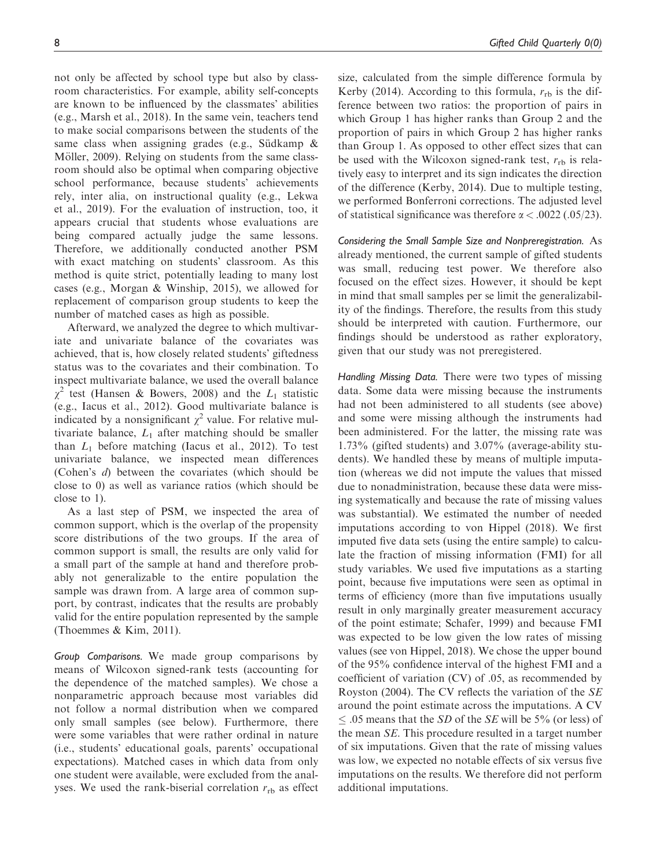not only be affected by school type but also by classroom characteristics. For example, ability self-concepts are known to be influenced by the classmates' abilities (e.g., Marsh et al., 2018). In the same vein, teachers tend to make social comparisons between the students of the same class when assigning grades (e.g., Südkamp  $\&$ Möller, 2009). Relying on students from the same classroom should also be optimal when comparing objective school performance, because students' achievements rely, inter alia, on instructional quality (e.g., Lekwa et al., 2019). For the evaluation of instruction, too, it appears crucial that students whose evaluations are being compared actually judge the same lessons. Therefore, we additionally conducted another PSM with exact matching on students' classroom. As this method is quite strict, potentially leading to many lost cases (e.g., Morgan & Winship, 2015), we allowed for replacement of comparison group students to keep the number of matched cases as high as possible.

Afterward, we analyzed the degree to which multivariate and univariate balance of the covariates was achieved, that is, how closely related students' giftedness status was to the covariates and their combination. To inspect multivariate balance, we used the overall balance  $\chi^2$  test (Hansen & Bowers, 2008) and the  $L_1$  statistic (e.g., Iacus et al., 2012). Good multivariate balance is indicated by a nonsignificant  $\chi^2$  value. For relative multivariate balance,  $L_1$  after matching should be smaller than  $L_1$  before matching (Iacus et al., 2012). To test univariate balance, we inspected mean differences (Cohen's d) between the covariates (which should be close to 0) as well as variance ratios (which should be close to 1).

As a last step of PSM, we inspected the area of common support, which is the overlap of the propensity score distributions of the two groups. If the area of common support is small, the results are only valid for a small part of the sample at hand and therefore probably not generalizable to the entire population the sample was drawn from. A large area of common support, by contrast, indicates that the results are probably valid for the entire population represented by the sample (Thoemmes & Kim, 2011).

Group Comparisons. We made group comparisons by means of Wilcoxon signed-rank tests (accounting for the dependence of the matched samples). We chose a nonparametric approach because most variables did not follow a normal distribution when we compared only small samples (see below). Furthermore, there were some variables that were rather ordinal in nature (i.e., students' educational goals, parents' occupational expectations). Matched cases in which data from only one student were available, were excluded from the analyses. We used the rank-biserial correlation  $r_{\rm rb}$  as effect size, calculated from the simple difference formula by Kerby (2014). According to this formula,  $r_{rb}$  is the difference between two ratios: the proportion of pairs in which Group 1 has higher ranks than Group 2 and the proportion of pairs in which Group 2 has higher ranks than Group 1. As opposed to other effect sizes that can be used with the Wilcoxon signed-rank test,  $r_{rb}$  is relatively easy to interpret and its sign indicates the direction of the difference (Kerby, 2014). Due to multiple testing, we performed Bonferroni corrections. The adjusted level of statistical significance was therefore  $\alpha < .0022$  (.05/23).

Considering the Small Sample Size and Nonpreregistration. As already mentioned, the current sample of gifted students was small, reducing test power. We therefore also focused on the effect sizes. However, it should be kept in mind that small samples per se limit the generalizability of the findings. Therefore, the results from this study should be interpreted with caution. Furthermore, our findings should be understood as rather exploratory, given that our study was not preregistered.

Handling Missing Data. There were two types of missing data. Some data were missing because the instruments had not been administered to all students (see above) and some were missing although the instruments had been administered. For the latter, the missing rate was 1.73% (gifted students) and 3.07% (average-ability students). We handled these by means of multiple imputation (whereas we did not impute the values that missed due to nonadministration, because these data were missing systematically and because the rate of missing values was substantial). We estimated the number of needed imputations according to von Hippel (2018). We first imputed five data sets (using the entire sample) to calculate the fraction of missing information (FMI) for all study variables. We used five imputations as a starting point, because five imputations were seen as optimal in terms of efficiency (more than five imputations usually result in only marginally greater measurement accuracy of the point estimate; Schafer, 1999) and because FMI was expected to be low given the low rates of missing values (see von Hippel, 2018). We chose the upper bound of the 95% confidence interval of the highest FMI and a coefficient of variation (CV) of .05, as recommended by Royston (2004). The CV reflects the variation of the SE around the point estimate across the imputations. A CV  $\leq$  .05 means that the SD of the SE will be 5% (or less) of the mean SE. This procedure resulted in a target number of six imputations. Given that the rate of missing values was low, we expected no notable effects of six versus five imputations on the results. We therefore did not perform additional imputations.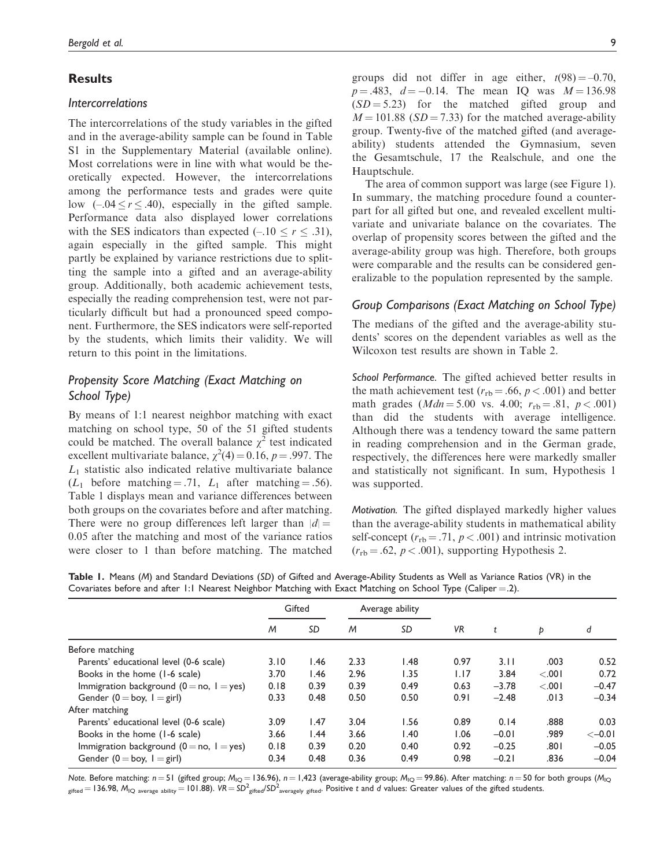# **Results**

#### Intercorrelations

The intercorrelations of the study variables in the gifted and in the average-ability sample can be found in Table S1 in the Supplementary Material (available online). Most correlations were in line with what would be theoretically expected. However, the intercorrelations among the performance tests and grades were quite low  $(-.04 \le r \le .40)$ , especially in the gifted sample. Performance data also displayed lower correlations with the SES indicators than expected  $(-.10 \le r \le .31)$ , again especially in the gifted sample. This might partly be explained by variance restrictions due to splitting the sample into a gifted and an average-ability group. Additionally, both academic achievement tests, especially the reading comprehension test, were not particularly difficult but had a pronounced speed component. Furthermore, the SES indicators were self-reported by the students, which limits their validity. We will return to this point in the limitations.

# Propensity Score Matching (Exact Matching on School Type)

By means of 1:1 nearest neighbor matching with exact matching on school type, 50 of the 51 gifted students could be matched. The overall balance  $\chi^2$  test indicated excellent multivariate balance,  $\chi^2(4) = 0.16$ ,  $p = .997$ . The  $L_1$  statistic also indicated relative multivariate balance  $(L_1 \text{ before matching} = .71, L_1 \text{ after matching} = .56).$ Table 1 displays mean and variance differences between both groups on the covariates before and after matching. There were no group differences left larger than  $|d| =$ 0.05 after the matching and most of the variance ratios were closer to 1 than before matching. The matched groups did not differ in age either,  $t(98) = -0.70$ ,  $p = .483$ ,  $d = -0.14$ . The mean IQ was  $M = 136.98$  $(SD = 5.23)$  for the matched gifted group and  $M = 101.88$  (SD = 7.33) for the matched average-ability group. Twenty-five of the matched gifted (and averageability) students attended the Gymnasium, seven the Gesamtschule, 17 the Realschule, and one the Hauptschule.

The area of common support was large (see Figure 1). In summary, the matching procedure found a counterpart for all gifted but one, and revealed excellent multivariate and univariate balance on the covariates. The overlap of propensity scores between the gifted and the average-ability group was high. Therefore, both groups were comparable and the results can be considered generalizable to the population represented by the sample.

#### Group Comparisons (Exact Matching on School Type)

The medians of the gifted and the average-ability students' scores on the dependent variables as well as the Wilcoxon test results are shown in Table 2.

School Performance. The gifted achieved better results in the math achievement test ( $r_{rb} = .66$ ,  $p < .001$ ) and better math grades  $(Mdn = 5.00 \text{ vs. } 4.00; r_{rb} = .81, p < .001)$ than did the students with average intelligence. Although there was a tendency toward the same pattern in reading comprehension and in the German grade, respectively, the differences here were markedly smaller and statistically not significant. In sum, Hypothesis 1 was supported.

Motivation. The gifted displayed markedly higher values than the average-ability students in mathematical ability self-concept ( $r_{rb} = .71$ ,  $p < .001$ ) and intrinsic motivation  $(r_{\rm rb} = .62, p < .001)$ , supporting Hypothesis 2.

| Table I. Means (M) and Standard Deviations (SD) of Gifted and Average-Ability Students as Well as Variance Ratios (VR) in the |
|-------------------------------------------------------------------------------------------------------------------------------|
| Covariates before and after 1:1 Nearest Neighbor Matching with Exact Matching on School Type (Caliper $=$ 2).                 |

|                                                 | Gifted |      | Average ability |      |           |         |        |              |
|-------------------------------------------------|--------|------|-----------------|------|-----------|---------|--------|--------------|
|                                                 | M      | SD   | M               | SD   | <b>VR</b> | t       | Þ      | d            |
| Before matching                                 |        |      |                 |      |           |         |        |              |
| Parents' educational level (0-6 scale)          | 3.10   | 1.46 | 2.33            | 1.48 | 0.97      | 3.11    | .003   | 0.52         |
| Books in the home (1-6 scale)                   | 3.70   | 1.46 | 2.96            | 1.35 | 1.17      | 3.84    | < .001 | 0.72         |
| Immigration background ( $0 = no$ , $1 = yes$ ) | 0.18   | 0.39 | 0.39            | 0.49 | 0.63      | $-3.78$ | < 0.01 | $-0.47$      |
| Gender $(0 = boy, 1 = girl)$                    | 0.33   | 0.48 | 0.50            | 0.50 | 0.91      | $-2.48$ | .013   | $-0.34$      |
| After matching                                  |        |      |                 |      |           |         |        |              |
| Parents' educational level (0-6 scale)          | 3.09   | 1.47 | 3.04            | 1.56 | 0.89      | 0.14    | .888   | 0.03         |
| Books in the home (1-6 scale)                   | 3.66   | 1.44 | 3.66            | 1.40 | 1.06      | $-0.01$ | .989   | $\leq -0.01$ |
| Immigration background ( $0 = no$ , $1 = yes$ ) | 0.18   | 0.39 | 0.20            | 0.40 | 0.92      | $-0.25$ | .801   | $-0.05$      |
| Gender ( $0 = boy$ , $I = girl$ )               | 0.34   | 0.48 | 0.36            | 0.49 | 0.98      | $-0.21$ | .836   | $-0.04$      |

Note. Before matching:  $n = 51$  (gifted group; M<sub>IQ</sub> = 136.96),  $n = 1,423$  (average-ability group; M<sub>IQ</sub> = 99.86). After matching:  $n = 50$  for both groups (M<sub>IQ</sub>  $_{\rm gifted}$  = 136.98, M<sub>IQ average ability</sub> = 101.88). VR = SD $^2$ <sub>gifted</sub>/SD $^2$ <sub>averagely gifted</sub>. Positive  $t$  and  $d$  values: Greater values of the gifted students.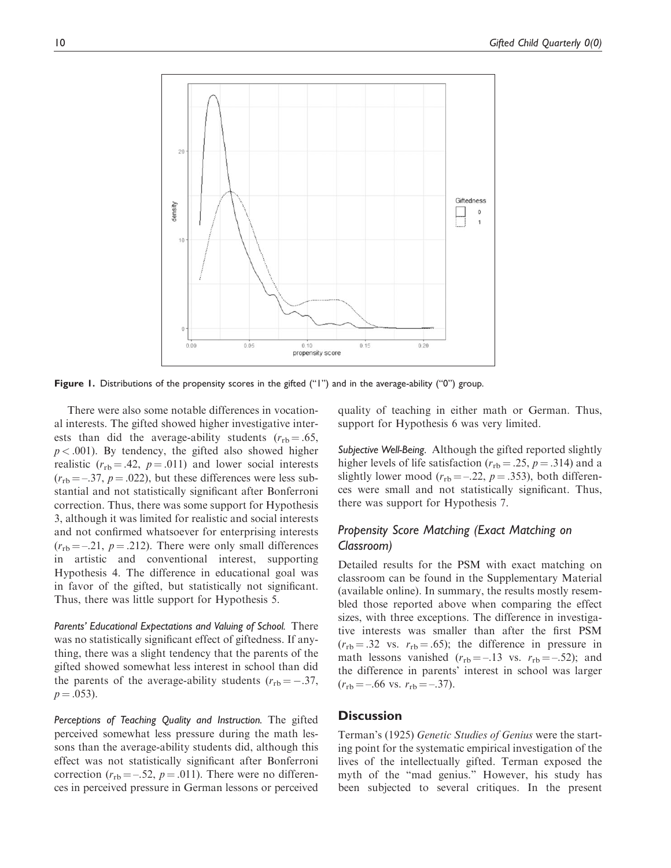

Figure 1. Distributions of the propensity scores in the gifted ("1") and in the average-ability ("0") group.

There were also some notable differences in vocational interests. The gifted showed higher investigative interests than did the average-ability students  $(r_{rb} = .65, )$  $p < .001$ ). By tendency, the gifted also showed higher realistic  $(r_{rb} = .42, p = .011)$  and lower social interests  $(r_{\rm rb} = -.37, p = .022)$ , but these differences were less substantial and not statistically significant after Bonferroni correction. Thus, there was some support for Hypothesis 3, although it was limited for realistic and social interests and not confirmed whatsoever for enterprising interests  $(r_{rb} = -.21, p = .212)$ . There were only small differences in artistic and conventional interest, supporting Hypothesis 4. The difference in educational goal was in favor of the gifted, but statistically not significant. Thus, there was little support for Hypothesis 5.

Parents' Educational Expectations and Valuing of School. There was no statistically significant effect of giftedness. If anything, there was a slight tendency that the parents of the gifted showed somewhat less interest in school than did the parents of the average-ability students  $(r_{rb} = -.37,$  $p = .053$ ).

Perceptions of Teaching Quality and Instruction. The gifted perceived somewhat less pressure during the math lessons than the average-ability students did, although this effect was not statistically significant after Bonferroni correction  $(r_{\rm rb} = -.52, p = .011)$ . There were no differences in perceived pressure in German lessons or perceived quality of teaching in either math or German. Thus, support for Hypothesis 6 was very limited.

Subjective Well-Being. Although the gifted reported slightly higher levels of life satisfaction ( $r_{rb} = .25$ ,  $p = .314$ ) and a slightly lower mood ( $r_{rb} = -.22$ ,  $p = .353$ ), both differences were small and not statistically significant. Thus, there was support for Hypothesis 7.

# Propensity Score Matching (Exact Matching on Classroom)

Detailed results for the PSM with exact matching on classroom can be found in the Supplementary Material (available online). In summary, the results mostly resembled those reported above when comparing the effect sizes, with three exceptions. The difference in investigative interests was smaller than after the first PSM  $(r_{\rm rb} = .32 \text{ vs. } r_{\rm rb} = .65)$ ; the difference in pressure in math lessons vanished  $(r_{rb} = -.13 \text{ vs. } r_{rb} = -.52)$ ; and the difference in parents' interest in school was larger  $(r_{\rm rb} = -.66$  vs.  $r_{\rm rb} = -.37$ ).

# **Discussion**

Terman's (1925) Genetic Studies of Genius were the starting point for the systematic empirical investigation of the lives of the intellectually gifted. Terman exposed the myth of the "mad genius." However, his study has been subjected to several critiques. In the present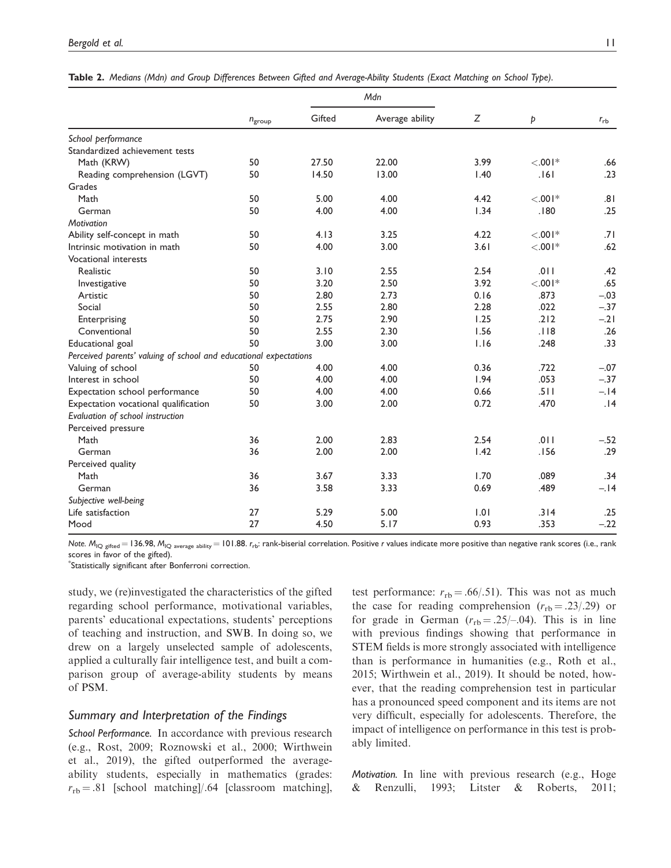| Table 2. Medians (Mdn) and Group Differences Between Gifted and Average-Ability Students (Exact Matching on School Type). |  |  |  |  |
|---------------------------------------------------------------------------------------------------------------------------|--|--|--|--|

|                                                                   | $n_{\rm group}$ |        | Mdn             |      | Þ         | $r_{rb}$ |
|-------------------------------------------------------------------|-----------------|--------|-----------------|------|-----------|----------|
|                                                                   |                 | Gifted | Average ability | Ζ    |           |          |
| School performance                                                |                 |        |                 |      |           |          |
| Standardized achievement tests                                    |                 |        |                 |      |           |          |
| Math (KRW)                                                        | 50              | 27.50  | 22.00           | 3.99 | $< .001*$ | .66      |
| Reading comprehension (LGVT)                                      | 50              | 14.50  | 13.00           | 1.40 | .161      | .23      |
| Grades                                                            |                 |        |                 |      |           |          |
| Math                                                              | 50              | 5.00   | 4.00            | 4.42 | $< 0.01*$ | .81      |
| German                                                            | 50              | 4.00   | 4.00            | 1.34 | .180      | .25      |
| <b>Motivation</b>                                                 |                 |        |                 |      |           |          |
| Ability self-concept in math                                      | 50              | 4.13   | 3.25            | 4.22 | $< .001*$ | .71      |
| Intrinsic motivation in math                                      | 50              | 4.00   | 3.00            | 3.61 | $< .001*$ | .62      |
| <b>Vocational interests</b>                                       |                 |        |                 |      |           |          |
| Realistic                                                         | 50              | 3.10   | 2.55            | 2.54 | .011      | .42      |
| Investigative                                                     | 50              | 3.20   | 2.50            | 3.92 | $< .001*$ | .65      |
| Artistic                                                          | 50              | 2.80   | 2.73            | 0.16 | .873      | $-.03$   |
| Social                                                            | 50              | 2.55   | 2.80            | 2.28 | .022      | $-.37$   |
| Enterprising                                                      | 50              | 2.75   | 2.90            | 1.25 | .212      | $-.21$   |
| Conventional                                                      | 50              | 2.55   | 2.30            | 1.56 | .118      | .26      |
| Educational goal                                                  | 50              | 3.00   | 3.00            | 1.16 | .248      | .33      |
| Perceived parents' valuing of school and educational expectations |                 |        |                 |      |           |          |
| Valuing of school                                                 | 50              | 4.00   | 4.00            | 0.36 | .722      | $-.07$   |
| Interest in school                                                | 50              | 4.00   | 4.00            | 1.94 | .053      | $-.37$   |
| Expectation school performance                                    | 50              | 4.00   | 4.00            | 0.66 | .511      | $-.14$   |
| Expectation vocational qualification                              | 50              | 3.00   | 2.00            | 0.72 | .470      | .14      |
| Evaluation of school instruction                                  |                 |        |                 |      |           |          |
| Perceived pressure                                                |                 |        |                 |      |           |          |
| Math                                                              | 36              | 2.00   | 2.83            | 2.54 | .011      | $-.52$   |
| German                                                            | 36              | 2.00   | 2.00            | 1.42 | .156      | .29      |
| Perceived quality                                                 |                 |        |                 |      |           |          |
| Math                                                              | 36              | 3.67   | 3.33            | 1.70 | .089      | .34      |
| German                                                            | 36              | 3.58   | 3.33            | 0.69 | .489      | $-.14$   |
| Subjective well-being                                             |                 |        |                 |      |           |          |
| Life satisfaction                                                 | 27              | 5.29   | 5.00            | 1.01 | .314      | .25      |
| Mood                                                              | 27              | 4.50   | 5.17            | 0.93 | .353      | $-.22$   |

Note.  $M_{IQ\_gified} = 136.98$ ,  $M_{IQ\ average\ ability} = 101.88$ .  $r_{rb}$ : rank-biserial correlation. Positive *r* values indicate more positive than negative rank scores (i.e., rank scores in favor of the gifted).

\* Statistically significant after Bonferroni correction.

study, we (re)investigated the characteristics of the gifted regarding school performance, motivational variables, parents' educational expectations, students' perceptions of teaching and instruction, and SWB. In doing so, we drew on a largely unselected sample of adolescents, applied a culturally fair intelligence test, and built a comparison group of average-ability students by means of PSM.

#### Summary and Interpretation of the Findings

School Performance. In accordance with previous research (e.g., Rost, 2009; Roznowski et al., 2000; Wirthwein et al., 2019), the gifted outperformed the averageability students, especially in mathematics (grades:  $r_{rb} = .81$  [school matching]/.64 [classroom matching],

test performance:  $r_{rb} = .66/.51$ . This was not as much the case for reading comprehension  $(r_{rb} = .23/.29)$  or for grade in German  $(r_{rb} = .25/-.04)$ . This is in line with previous findings showing that performance in STEM fields is more strongly associated with intelligence than is performance in humanities (e.g., Roth et al., 2015; Wirthwein et al., 2019). It should be noted, however, that the reading comprehension test in particular has a pronounced speed component and its items are not very difficult, especially for adolescents. Therefore, the impact of intelligence on performance in this test is probably limited.

Motivation. In line with previous research (e.g., Hoge & Renzulli, 1993; Litster & Roberts, 2011;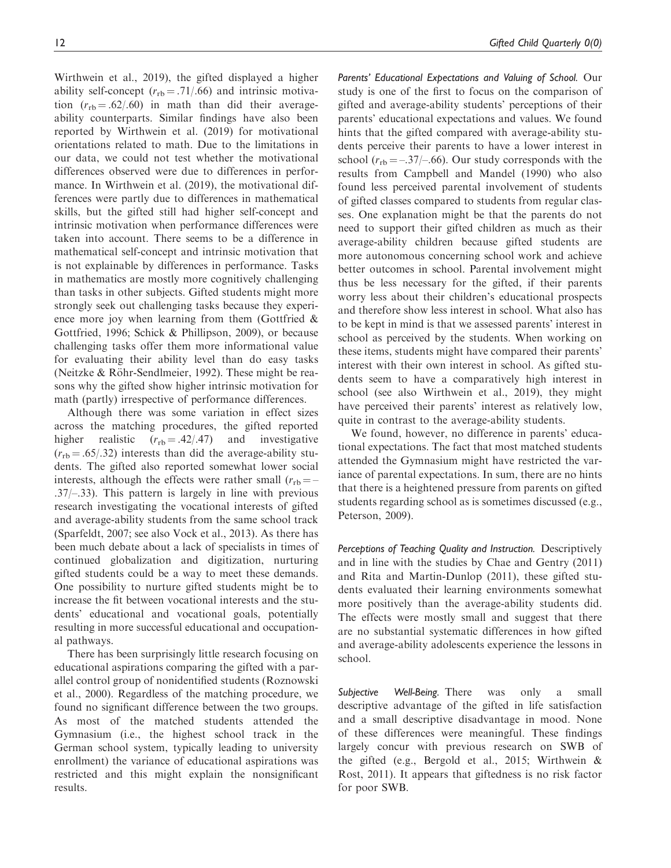Wirthwein et al., 2019), the gifted displayed a higher ability self-concept  $(r_{rb} = .71/.66)$  and intrinsic motivation  $(r_{rb} = .62/.60)$  in math than did their averageability counterparts. Similar findings have also been reported by Wirthwein et al. (2019) for motivational orientations related to math. Due to the limitations in our data, we could not test whether the motivational differences observed were due to differences in performance. In Wirthwein et al. (2019), the motivational differences were partly due to differences in mathematical skills, but the gifted still had higher self-concept and intrinsic motivation when performance differences were taken into account. There seems to be a difference in mathematical self-concept and intrinsic motivation that is not explainable by differences in performance. Tasks in mathematics are mostly more cognitively challenging than tasks in other subjects. Gifted students might more strongly seek out challenging tasks because they experience more joy when learning from them (Gottfried & Gottfried, 1996; Schick & Phillipson, 2009), or because challenging tasks offer them more informational value for evaluating their ability level than do easy tasks (Neitzke & Röhr-Sendlmeier, 1992). These might be reasons why the gifted show higher intrinsic motivation for math (partly) irrespective of performance differences.

Although there was some variation in effect sizes across the matching procedures, the gifted reported higher realistic  $(r_{rb} = .42/.47)$  and investigative  $(r_{rb} = .65/.32)$  interests than did the average-ability students. The gifted also reported somewhat lower social interests, although the effects were rather small  $(r_{rb} = -$ .37/–.33). This pattern is largely in line with previous research investigating the vocational interests of gifted and average-ability students from the same school track (Sparfeldt, 2007; see also Vock et al., 2013). As there has been much debate about a lack of specialists in times of continued globalization and digitization, nurturing gifted students could be a way to meet these demands. One possibility to nurture gifted students might be to increase the fit between vocational interests and the students' educational and vocational goals, potentially resulting in more successful educational and occupational pathways.

There has been surprisingly little research focusing on educational aspirations comparing the gifted with a parallel control group of nonidentified students (Roznowski et al., 2000). Regardless of the matching procedure, we found no significant difference between the two groups. As most of the matched students attended the Gymnasium (i.e., the highest school track in the German school system, typically leading to university enrollment) the variance of educational aspirations was restricted and this might explain the nonsignificant results.

Parents' Educational Expectations and Valuing of School. Our study is one of the first to focus on the comparison of gifted and average-ability students' perceptions of their parents' educational expectations and values. We found hints that the gifted compared with average-ability students perceive their parents to have a lower interest in school  $(r_{rb} = -.37/-.66)$ . Our study corresponds with the results from Campbell and Mandel (1990) who also found less perceived parental involvement of students of gifted classes compared to students from regular classes. One explanation might be that the parents do not need to support their gifted children as much as their average-ability children because gifted students are more autonomous concerning school work and achieve better outcomes in school. Parental involvement might thus be less necessary for the gifted, if their parents worry less about their children's educational prospects and therefore show less interest in school. What also has to be kept in mind is that we assessed parents' interest in school as perceived by the students. When working on these items, students might have compared their parents' interest with their own interest in school. As gifted students seem to have a comparatively high interest in school (see also Wirthwein et al., 2019), they might have perceived their parents' interest as relatively low, quite in contrast to the average-ability students.

We found, however, no difference in parents' educational expectations. The fact that most matched students attended the Gymnasium might have restricted the variance of parental expectations. In sum, there are no hints that there is a heightened pressure from parents on gifted students regarding school as is sometimes discussed (e.g., Peterson, 2009).

Perceptions of Teaching Quality and Instruction. Descriptively and in line with the studies by Chae and Gentry (2011) and Rita and Martin-Dunlop (2011), these gifted students evaluated their learning environments somewhat more positively than the average-ability students did. The effects were mostly small and suggest that there are no substantial systematic differences in how gifted and average-ability adolescents experience the lessons in school.

Subjective Well-Being. There was only a small descriptive advantage of the gifted in life satisfaction and a small descriptive disadvantage in mood. None of these differences were meaningful. These findings largely concur with previous research on SWB of the gifted (e.g., Bergold et al., 2015; Wirthwein & Rost, 2011). It appears that giftedness is no risk factor for poor SWB.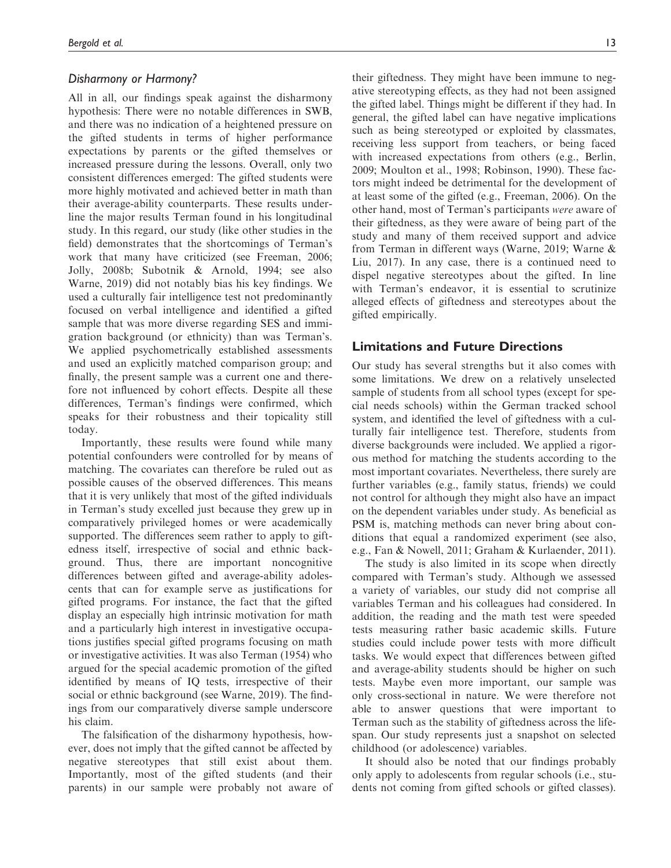#### Disharmony or Harmony?

All in all, our findings speak against the disharmony hypothesis: There were no notable differences in SWB, and there was no indication of a heightened pressure on the gifted students in terms of higher performance expectations by parents or the gifted themselves or increased pressure during the lessons. Overall, only two consistent differences emerged: The gifted students were more highly motivated and achieved better in math than their average-ability counterparts. These results underline the major results Terman found in his longitudinal study. In this regard, our study (like other studies in the field) demonstrates that the shortcomings of Terman's work that many have criticized (see Freeman, 2006; Jolly, 2008b; Subotnik & Arnold, 1994; see also Warne, 2019) did not notably bias his key findings. We used a culturally fair intelligence test not predominantly focused on verbal intelligence and identified a gifted sample that was more diverse regarding SES and immigration background (or ethnicity) than was Terman's. We applied psychometrically established assessments and used an explicitly matched comparison group; and finally, the present sample was a current one and therefore not influenced by cohort effects. Despite all these differences, Terman's findings were confirmed, which speaks for their robustness and their topicality still today.

Importantly, these results were found while many potential confounders were controlled for by means of matching. The covariates can therefore be ruled out as possible causes of the observed differences. This means that it is very unlikely that most of the gifted individuals in Terman's study excelled just because they grew up in comparatively privileged homes or were academically supported. The differences seem rather to apply to giftedness itself, irrespective of social and ethnic background. Thus, there are important noncognitive differences between gifted and average-ability adolescents that can for example serve as justifications for gifted programs. For instance, the fact that the gifted display an especially high intrinsic motivation for math and a particularly high interest in investigative occupations justifies special gifted programs focusing on math or investigative activities. It was also Terman (1954) who argued for the special academic promotion of the gifted identified by means of IQ tests, irrespective of their social or ethnic background (see Warne, 2019). The findings from our comparatively diverse sample underscore his claim.

The falsification of the disharmony hypothesis, however, does not imply that the gifted cannot be affected by negative stereotypes that still exist about them. Importantly, most of the gifted students (and their parents) in our sample were probably not aware of

their giftedness. They might have been immune to negative stereotyping effects, as they had not been assigned the gifted label. Things might be different if they had. In general, the gifted label can have negative implications such as being stereotyped or exploited by classmates, receiving less support from teachers, or being faced with increased expectations from others (e.g., Berlin, 2009; Moulton et al., 1998; Robinson, 1990). These factors might indeed be detrimental for the development of at least some of the gifted (e.g., Freeman, 2006). On the other hand, most of Terman's participants were aware of their giftedness, as they were aware of being part of the study and many of them received support and advice from Terman in different ways (Warne, 2019; Warne & Liu, 2017). In any case, there is a continued need to dispel negative stereotypes about the gifted. In line with Terman's endeavor, it is essential to scrutinize alleged effects of giftedness and stereotypes about the gifted empirically.

## Limitations and Future Directions

Our study has several strengths but it also comes with some limitations. We drew on a relatively unselected sample of students from all school types (except for special needs schools) within the German tracked school system, and identified the level of giftedness with a culturally fair intelligence test. Therefore, students from diverse backgrounds were included. We applied a rigorous method for matching the students according to the most important covariates. Nevertheless, there surely are further variables (e.g., family status, friends) we could not control for although they might also have an impact on the dependent variables under study. As beneficial as PSM is, matching methods can never bring about conditions that equal a randomized experiment (see also, e.g., Fan & Nowell, 2011; Graham & Kurlaender, 2011).

The study is also limited in its scope when directly compared with Terman's study. Although we assessed a variety of variables, our study did not comprise all variables Terman and his colleagues had considered. In addition, the reading and the math test were speeded tests measuring rather basic academic skills. Future studies could include power tests with more difficult tasks. We would expect that differences between gifted and average-ability students should be higher on such tests. Maybe even more important, our sample was only cross-sectional in nature. We were therefore not able to answer questions that were important to Terman such as the stability of giftedness across the lifespan. Our study represents just a snapshot on selected childhood (or adolescence) variables.

It should also be noted that our findings probably only apply to adolescents from regular schools (i.e., students not coming from gifted schools or gifted classes).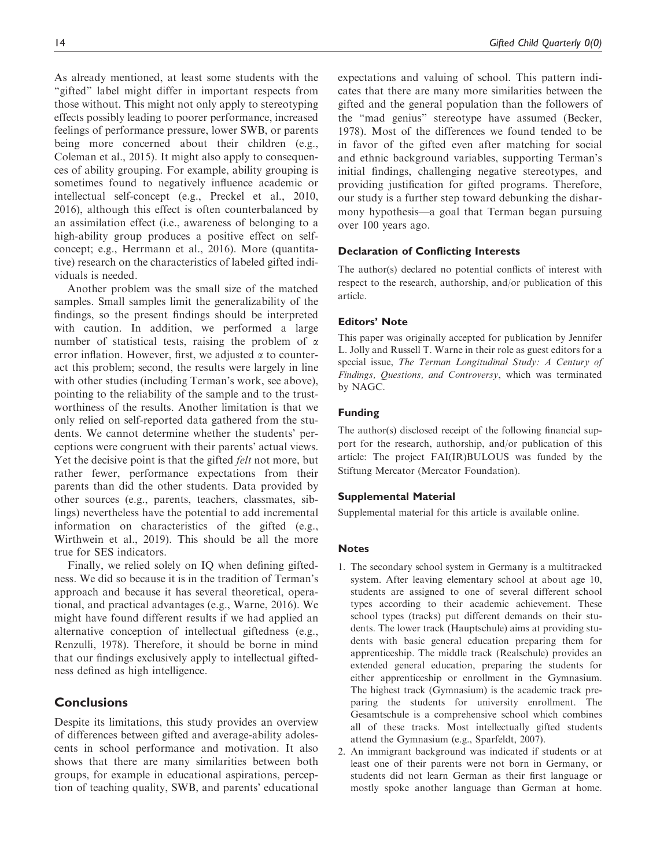As already mentioned, at least some students with the "gifted" label might differ in important respects from those without. This might not only apply to stereotyping effects possibly leading to poorer performance, increased feelings of performance pressure, lower SWB, or parents being more concerned about their children (e.g., Coleman et al., 2015). It might also apply to consequences of ability grouping. For example, ability grouping is sometimes found to negatively influence academic or intellectual self-concept (e.g., Preckel et al., 2010, 2016), although this effect is often counterbalanced by an assimilation effect (i.e., awareness of belonging to a high-ability group produces a positive effect on selfconcept; e.g., Herrmann et al., 2016). More (quantitative) research on the characteristics of labeled gifted individuals is needed.

Another problem was the small size of the matched samples. Small samples limit the generalizability of the findings, so the present findings should be interpreted with caution. In addition, we performed a large number of statistical tests, raising the problem of  $\alpha$ error inflation. However, first, we adjusted  $\alpha$  to counteract this problem; second, the results were largely in line with other studies (including Terman's work, see above), pointing to the reliability of the sample and to the trustworthiness of the results. Another limitation is that we only relied on self-reported data gathered from the students. We cannot determine whether the students' perceptions were congruent with their parents' actual views. Yet the decisive point is that the gifted *felt* not more, but rather fewer, performance expectations from their parents than did the other students. Data provided by other sources (e.g., parents, teachers, classmates, siblings) nevertheless have the potential to add incremental information on characteristics of the gifted (e.g., Wirthwein et al., 2019). This should be all the more true for SES indicators.

Finally, we relied solely on IQ when defining giftedness. We did so because it is in the tradition of Terman's approach and because it has several theoretical, operational, and practical advantages (e.g., Warne, 2016). We might have found different results if we had applied an alternative conception of intellectual giftedness (e.g., Renzulli, 1978). Therefore, it should be borne in mind that our findings exclusively apply to intellectual giftedness defined as high intelligence.

# **Conclusions**

Despite its limitations, this study provides an overview of differences between gifted and average-ability adolescents in school performance and motivation. It also shows that there are many similarities between both groups, for example in educational aspirations, perception of teaching quality, SWB, and parents' educational expectations and valuing of school. This pattern indi-

cates that there are many more similarities between the gifted and the general population than the followers of the "mad genius" stereotype have assumed (Becker, 1978). Most of the differences we found tended to be in favor of the gifted even after matching for social and ethnic background variables, supporting Terman's initial findings, challenging negative stereotypes, and providing justification for gifted programs. Therefore, our study is a further step toward debunking the disharmony hypothesis—a goal that Terman began pursuing over 100 years ago.

#### Declaration of Conflicting Interests

The author(s) declared no potential conflicts of interest with respect to the research, authorship, and/or publication of this article.

#### Editors' Note

This paper was originally accepted for publication by Jennifer L. Jolly and Russell T. Warne in their role as guest editors for a special issue, The Terman Longitudinal Study: A Century of Findings, Questions, and Controversy, which was terminated by NAGC.

#### Funding

The author(s) disclosed receipt of the following financial support for the research, authorship, and/or publication of this article: The project FAI(IR)BULOUS was funded by the Stiftung Mercator (Mercator Foundation).

#### Supplemental Material

Supplemental material for this article is available online.

#### Notes

- 1. The secondary school system in Germany is a multitracked system. After leaving elementary school at about age 10, students are assigned to one of several different school types according to their academic achievement. These school types (tracks) put different demands on their students. The lower track (Hauptschule) aims at providing students with basic general education preparing them for apprenticeship. The middle track (Realschule) provides an extended general education, preparing the students for either apprenticeship or enrollment in the Gymnasium. The highest track (Gymnasium) is the academic track preparing the students for university enrollment. The Gesamtschule is a comprehensive school which combines all of these tracks. Most intellectually gifted students attend the Gymnasium (e.g., Sparfeldt, 2007).
- 2. An immigrant background was indicated if students or at least one of their parents were not born in Germany, or students did not learn German as their first language or mostly spoke another language than German at home.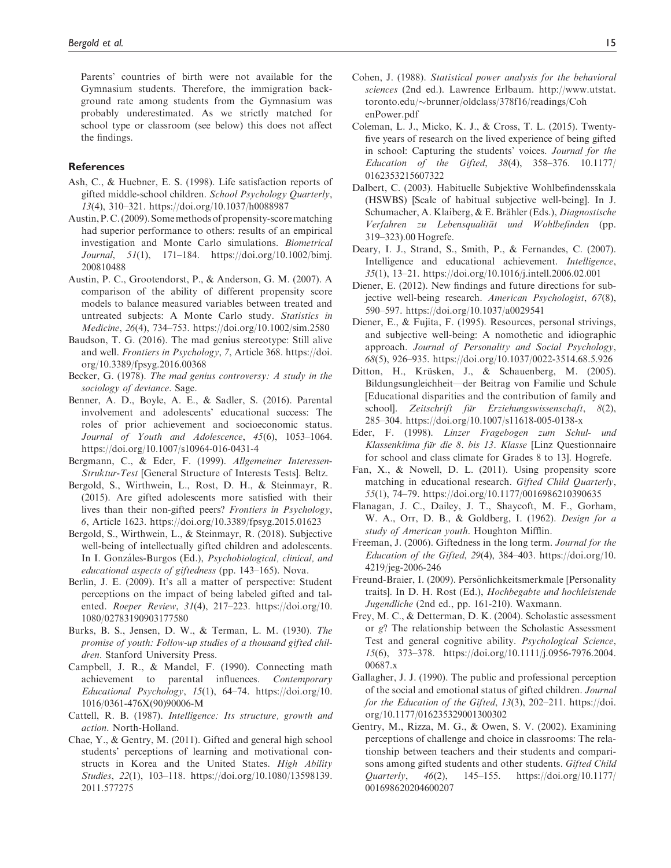Parents' countries of birth were not available for the Gymnasium students. Therefore, the immigration background rate among students from the Gymnasium was probably underestimated. As we strictly matched for school type or classroom (see below) this does not affect the findings.

#### **References**

- Ash, C., & Huebner, E. S. (1998). Life satisfaction reports of gifted middle-school children. School Psychology Quarterly, 13(4), 310–321.<https://doi.org/10.1037/h0088987>
- Austin, P. C. (2009). Some methods of propensity-score matching had superior performance to others: results of an empirical investigation and Monte Carlo simulations. Biometrical Journal, 51(1), 171–184. [https://doi.org/10.1002/bimj.](https://doi.org/10.1002/bimj.200810488) [200810488](https://doi.org/10.1002/bimj.200810488)
- Austin, P. C., Grootendorst, P., & Anderson, G. M. (2007). A comparison of the ability of different propensity score models to balance measured variables between treated and untreated subjects: A Monte Carlo study. Statistics in Medicine, 26(4), 734–753.<https://doi.org/10.1002/sim.2580>
- Baudson, T. G. (2016). The mad genius stereotype: Still alive and well. Frontiers in Psychology, 7, Article 368. [https://doi.](https://doi.org/10.3389/fpsyg.2016.00368) [org/10.3389/fpsyg.2016.00368](https://doi.org/10.3389/fpsyg.2016.00368)
- Becker, G. (1978). The mad genius controversy: A study in the sociology of deviance. Sage.
- Benner, A. D., Boyle, A. E., & Sadler, S. (2016). Parental involvement and adolescents' educational success: The roles of prior achievement and socioeconomic status. Journal of Youth and Adolescence, 45(6), 1053–1064. <https://doi.org/10.1007/s10964-016-0431-4>
- Bergmann, C., & Eder, F. (1999). Allgemeiner Interessen-Struktur-Test [General Structure of Interests Tests]. Beltz.
- Bergold, S., Wirthwein, L., Rost, D. H., & Steinmayr, R. (2015). Are gifted adolescents more satisfied with their lives than their non-gifted peers? Frontiers in Psychology, 6, Article 1623.<https://doi.org/10.3389/fpsyg.2015.01623>
- Bergold, S., Wirthwein, L., & Steinmayr, R. (2018). Subjective well-being of intellectually gifted children and adolescents. In I. Gonzáles-Burgos (Ed.), Psychobiological, clinical, and educational aspects of giftedness (pp. 143–165). Nova.
- Berlin, J. E. (2009). It's all a matter of perspective: Student perceptions on the impact of being labeled gifted and talented. Roeper Review, 31(4), 217–223. [https://doi.org/10.](https://doi.org/10.1080/02783190903177580) [1080/02783190903177580](https://doi.org/10.1080/02783190903177580)
- Burks, B. S., Jensen, D. W., & Terman, L. M. (1930). The promise of youth: Follow-up studies of a thousand gifted children. Stanford University Press.
- Campbell, J. R., & Mandel, F. (1990). Connecting math achievement to parental influences. Contemporary Educational Psychology, 15(1), 64–74. [https://doi.org/10.](https://doi.org/10.1016/0361-476X(90)90006-M) [1016/0361-476X\(90\)90006-M](https://doi.org/10.1016/0361-476X(90)90006-M)
- Cattell, R. B. (1987). Intelligence: Its structure, growth and action. North-Holland.
- Chae, Y., & Gentry, M. (2011). Gifted and general high school students' perceptions of learning and motivational constructs in Korea and the United States. High Ability Studies, 22(1), 103–118. [https://doi.org/10.1080/13598139.](https://doi.org/10.1080/13598139.2011.577275) [2011.577275](https://doi.org/10.1080/13598139.2011.577275)
- Cohen, J. (1988). Statistical power analysis for the behavioral sciences (2nd ed.). Lawrence Erlbaum. [http://www.utstat.](http://www.utstat.toronto.edu/<brunner/oldclass/378f16/readings/CohenPower.pdf) [toronto.edu/](http://www.utstat.toronto.edu/<brunner/oldclass/378f16/readings/CohenPower.pdf)~[brunner/oldclass/378f16/readings/Coh](http://www.utstat.toronto.edu/<brunner/oldclass/378f16/readings/CohenPower.pdf) [enPower.pdf](http://www.utstat.toronto.edu/<brunner/oldclass/378f16/readings/CohenPower.pdf)
- Coleman, L. J., Micko, K. J., & Cross, T. L. (2015). Twentyfive years of research on the lived experience of being gifted in school: Capturing the students' voices. Journal for the Education of the Gifted, 38(4), 358–376. 10.1177/ 0162353215607322
- Dalbert, C. (2003). Habituelle Subjektive Wohlbefindensskala (HSWBS) [Scale of habitual subjective well-being]. In J. Schumacher, A. Klaiberg, & E. Brähler (Eds.), Diagnostische Verfahren zu Lebensqualität und Wohlbefinden (pp. 319–323).00 Hogrefe.
- Deary, I. J., Strand, S., Smith, P., & Fernandes, C. (2007). Intelligence and educational achievement. Intelligence, 35(1), 13–21.<https://doi.org/10.1016/j.intell.2006.02.001>
- Diener, E. (2012). New findings and future directions for subjective well-being research. American Psychologist, 67(8), 590–597.<https://doi.org/10.1037/a0029541>
- Diener, E., & Fujita, F. (1995). Resources, personal strivings, and subjective well-being: A nomothetic and idiographic approach. Journal of Personality and Social Psychology, 68(5), 926–935.<https://doi.org/10.1037/0022-3514.68.5.926>
- Ditton, H., Krüsken, J., & Schauenberg, M. (2005). Bildungsungleichheit—der Beitrag von Familie und Schule [Educational disparities and the contribution of family and school]. Zeitschrift für Erziehungswissenschaft, 8(2), 285–304.<https://doi.org/10.1007/s11618-005-0138-x>
- Eder, F. (1998). Linzer Fragebogen zum Schul- und Klassenklima für die 8. bis 13. Klasse [Linz Questionnaire for school and class climate for Grades 8 to 13]. Hogrefe.
- Fan, X., & Nowell, D. L. (2011). Using propensity score matching in educational research. Gifted Child Quarterly, 55(1), 74–79.<https://doi.org/10.1177/0016986210390635>
- Flanagan, J. C., Dailey, J. T., Shaycoft, M. F., Gorham, W. A., Orr, D. B., & Goldberg, I. (1962). Design for a study of American youth. Houghton Mifflin.
- Freeman, J. (2006). Giftedness in the long term. Journal for the Education of the Gifted, 29(4), 384-403. [https://doi.org/10.](https://doi.org/10.4219/jeg-2006-246) [4219/jeg-2006-246](https://doi.org/10.4219/jeg-2006-246)
- Freund-Braier, I. (2009). Persönlichkeitsmerkmale [Personality traits]. In D. H. Rost (Ed.), Hochbegabte und hochleistende Jugendliche (2nd ed., pp. 161-210). Waxmann.
- Frey, M. C., & Detterman, D. K. (2004). Scholastic assessment or g? The relationship between the Scholastic Assessment Test and general cognitive ability. Psychological Science, 15(6), 373–378. [https://doi.org/10.1111/j.0956-7976.2004.](https://doi.org/10.1111/j.0956-7976.2004.00687.x) [00687.x](https://doi.org/10.1111/j.0956-7976.2004.00687.x)
- Gallagher, J. J. (1990). The public and professional perception of the social and emotional status of gifted children. Journal for the Education of the Gifted, 13(3), 202–211. [https://doi.](https://doi.org/10.1177/016235329001300302) [org/10.1177/016235329001300302](https://doi.org/10.1177/016235329001300302)
- Gentry, M., Rizza, M. G., & Owen, S. V. (2002). Examining perceptions of challenge and choice in classrooms: The relationship between teachers and their students and comparisons among gifted students and other students. Gifted Child Quarterly, 46(2), 145–155. [https://doi.org/10.1177/](https://doi.org/10.1177/001698620204600207) [001698620204600207](https://doi.org/10.1177/001698620204600207)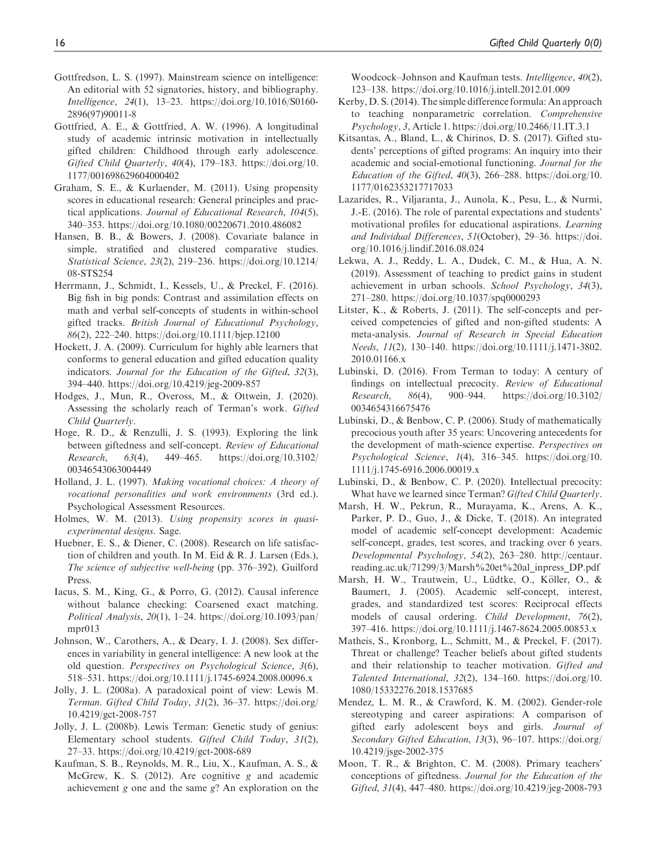- Gottfredson, L. S. (1997). Mainstream science on intelligence: An editorial with 52 signatories, history, and bibliography. Intelligence, 24(1), 13–23. [https://doi.org/10.1016/S0160-](https://doi.org/10.1016/S0160-2896(97)90011-8) [2896\(97\)90011-8](https://doi.org/10.1016/S0160-2896(97)90011-8)
- Gottfried, A. E., & Gottfried, A. W. (1996). A longitudinal study of academic intrinsic motivation in intellectually gifted children: Childhood through early adolescence. Gifted Child Quarterly, 40(4), 179–183. [https://doi.org/10.](https://doi.org/10.1177/001698629604000402) [1177/001698629604000402](https://doi.org/10.1177/001698629604000402)
- Graham, S. E., & Kurlaender, M. (2011). Using propensity scores in educational research: General principles and practical applications. Journal of Educational Research, 104(5), 340–353.<https://doi.org/10.1080/00220671.2010.486082>
- Hansen, B. B., & Bowers, J. (2008). Covariate balance in simple, stratified and clustered comparative studies. Statistical Science, 23(2), 219–236. [https://doi.org/10.1214/](https://doi.org/10.1214/08-STS254) [08-STS254](https://doi.org/10.1214/08-STS254)
- Herrmann, J., Schmidt, I., Kessels, U., & Preckel, F. (2016). Big fish in big ponds: Contrast and assimilation effects on math and verbal self-concepts of students in within-school gifted tracks. British Journal of Educational Psychology, 86(2), 222–240. [https://doi.org/10.1111/bjep.12100](http://10.1111/bjep.12100)
- Hockett, J. A. (2009). Curriculum for highly able learners that conforms to general education and gifted education quality indicators. Journal for the Education of the Gifted, 32(3), 394–440.<https://doi.org/10.4219/jeg-2009-857>
- Hodges, J., Mun, R., Oveross, M., & Ottwein, J. (2020). Assessing the scholarly reach of Terman's work. Gifted Child Quarterly.
- Hoge, R. D., & Renzulli, J. S. (1993). Exploring the link between giftedness and self-concept. Review of Educational Research, 63(4), 449–465. [https://doi.org/10.3102/](https://doi.org/10.3102/00346543063004449) [00346543063004449](https://doi.org/10.3102/00346543063004449)
- Holland, J. L. (1997). Making vocational choices: A theory of vocational personalities and work environments (3rd ed.). Psychological Assessment Resources.
- Holmes, W. M. (2013). Using propensity scores in quasiexperimental designs. Sage.
- Huebner, E. S., & Diener, C. (2008). Research on life satisfaction of children and youth. In M. Eid & R. J. Larsen (Eds.), The science of subjective well-being (pp. 376–392). Guilford Press.
- Iacus, S. M., King, G., & Porro, G. (2012). Causal inference without balance checking: Coarsened exact matching. Political Analysis,  $20(1)$ , 1–24. [https://doi.org/10.1093/pan/](https://doi.org/10.1093/pan/mpr013) [mpr013](https://doi.org/10.1093/pan/mpr013)
- Johnson, W., Carothers, A., & Deary, I. J. (2008). Sex differences in variability in general intelligence: A new look at the old question. Perspectives on Psychological Science, 3(6), 518–531.<https://doi.org/10.1111/j.1745-6924.2008.00096.x>
- Jolly, J. L. (2008a). A paradoxical point of view: Lewis M. Terman. Gifted Child Today, 31(2), 36–37. [https://doi.org/](https://doi.org/10.4219/gct-2008-757) [10.4219/gct-2008-757](https://doi.org/10.4219/gct-2008-757)
- Jolly, J. L. (2008b). Lewis Terman: Genetic study of genius: Elementary school students. Gifted Child Today, 31(2), 27–33.<https://doi.org/10.4219/gct-2008-689>
- Kaufman, S. B., Reynolds, M. R., Liu, X., Kaufman, A. S., & McGrew, K. S. (2012). Are cognitive g and academic achievement g one and the same g? An exploration on the

Woodcock–Johnson and Kaufman tests. Intelligence, 40(2), 123–138.<https://doi.org/10.1016/j.intell.2012.01.009>

- Kerby, D. S. (2014). The simple difference formula: An approach to teaching nonparametric correlation. Comprehensive Psychology, 3, Article 1.<https://doi.org/10.2466/11.IT.3.1>
- Kitsantas, A., Bland, L., & Chirinos, D. S. (2017). Gifted students' perceptions of gifted programs: An inquiry into their academic and social-emotional functioning. Journal for the Education of the Gifted,  $40(3)$ , 266-288. [https://doi.org/10.](https://doi.org/10.1177/0162353217717033) [1177/0162353217717033](https://doi.org/10.1177/0162353217717033)
- Lazarides, R., Viljaranta, J., Aunola, K., Pesu, L., & Nurmi, J.-E. (2016). The role of parental expectations and students' motivational profiles for educational aspirations. Learning and Individual Differences, 51(October), 29–36. [https://doi.](https://doi.org/10.1016/j.lindif.2016.08.024) [org/10.1016/j.lindif.2016.08.024](https://doi.org/10.1016/j.lindif.2016.08.024)
- Lekwa, A. J., Reddy, L. A., Dudek, C. M., & Hua, A. N. (2019). Assessment of teaching to predict gains in student achievement in urban schools. School Psychology, 34(3), 271–280.<https://doi.org/10.1037/spq0000293>
- Litster, K., & Roberts, J. (2011). The self-concepts and perceived competencies of gifted and non-gifted students: A meta-analysis. Journal of Research in Special Education Needs, 11(2), 130–140. [https://doi.org/10.1111/j.1471-3802.](https://doi.org/10.1111/j.1471-3802.2010.01166.x) [2010.01166.x](https://doi.org/10.1111/j.1471-3802.2010.01166.x)
- Lubinski, D. (2016). From Terman to today: A century of findings on intellectual precocity. Review of Educational Research, 86(4), 900–944. [https://doi.org/10.3102/](https://doi.org/10.3102/0034654316675476) [0034654316675476](https://doi.org/10.3102/0034654316675476)
- Lubinski, D., & Benbow, C. P. (2006). Study of mathematically precocious youth after 35 years: Uncovering antecedents for the development of math-science expertise. Perspectives on Psychological Science, 1(4), 316–345. [https://doi.org/10.](https://doi.org/10.1111/j.1745-6916.2006.00019.x) [1111/j.1745-6916.2006.00019.x](https://doi.org/10.1111/j.1745-6916.2006.00019.x)
- Lubinski, D., & Benbow, C. P. (2020). Intellectual precocity: What have we learned since Terman? Gifted Child Quarterly.
- Marsh, H. W., Pekrun, R., Murayama, K., Arens, A. K., Parker, P. D., Guo, J., & Dicke, T. (2018). An integrated model of academic self-concept development: Academic self-concept, grades, test scores, and tracking over 6 years. Developmental Psychology, 54(2), 263–280. [http://centaur.](http://centaur.reading.ac.uk/71299/3/Marsh%20et%20al_inpress_DP.pdf) [reading.ac.uk/71299/3/Marsh%20et%20al\\_inpress\\_DP.pdf](http://centaur.reading.ac.uk/71299/3/Marsh%20et%20al_inpress_DP.pdf)
- Marsh, H. W., Trautwein, U., Lüdtke, O., Köller, O., & Baumert, J. (2005). Academic self-concept, interest, grades, and standardized test scores: Reciprocal effects models of causal ordering. Child Development, 76(2), 397–416.<https://doi.org/10.1111/j.1467-8624.2005.00853.x>
- Matheis, S., Kronborg, L., Schmitt, M., & Preckel, F. (2017). Threat or challenge? Teacher beliefs about gifted students and their relationship to teacher motivation. Gifted and Talented International, 32(2), 134–160. [https://doi.org/10.](https://doi.org/10.1080/15332276.2018.1537685) [1080/15332276.2018.1537685](https://doi.org/10.1080/15332276.2018.1537685)
- Mendez, L. M. R., & Crawford, K. M. (2002). Gender-role stereotyping and career aspirations: A comparison of gifted early adolescent boys and girls. Journal of Secondary Gifted Education, 13(3), 96–107. [https://doi.org/](https://doi.org/10.4219/jsge-2002-375) [10.4219/jsge-2002-375](https://doi.org/10.4219/jsge-2002-375)
- Moon, T. R., & Brighton, C. M. (2008). Primary teachers' conceptions of giftedness. Journal for the Education of the Gifted, 31(4), 447–480.<https://doi.org/10.4219/jeg-2008-793>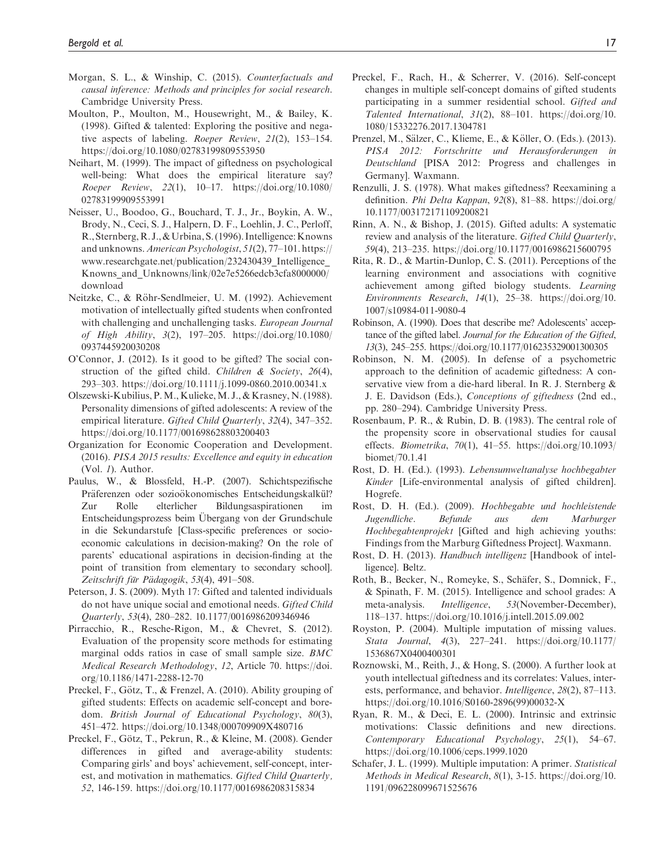- Morgan, S. L., & Winship, C. (2015). Counterfactuals and causal inference: Methods and principles for social research. Cambridge University Press.
- Moulton, P., Moulton, M., Housewright, M., & Bailey, K. (1998). Gifted & talented: Exploring the positive and negative aspects of labeling. Roeper Review, 21(2), 153–154. <https://doi.org/10.1080/02783199809553950>
- Neihart, M. (1999). The impact of giftedness on psychological well-being: What does the empirical literature say? Roeper Review, 22(1), 10–17. [https://doi.org/10.1080/](https://doi.org/10.1080/02783199909553991) [02783199909553991](https://doi.org/10.1080/02783199909553991)
- Neisser, U., Boodoo, G., Bouchard, T. J., Jr., Boykin, A. W., Brody, N., Ceci, S. J., Halpern, D. F., Loehlin, J. C., Perloff, R., Sternberg,R. J.,&Urbina, S. (1996). Intelligence:Knowns and unknowns.American Psychologist, 51(2), 77–101. [https://](https://www.researchgate.net/publication/232430439_Intelligence_Knowns_and_Unknowns/link/02e7e5266edcb3cfa8000000/download) [www.researchgate.net/publication/232430439\\_Intelligence\\_](https://www.researchgate.net/publication/232430439_Intelligence_Knowns_and_Unknowns/link/02e7e5266edcb3cfa8000000/download) Knowns and Unknowns/link/02e7e5266edcb3cfa8000000/ [download](https://www.researchgate.net/publication/232430439_Intelligence_Knowns_and_Unknowns/link/02e7e5266edcb3cfa8000000/download)
- Neitzke, C., & Röhr-Sendlmeier, U. M. (1992). Achievement motivation of intellectually gifted students when confronted with challenging and unchallenging tasks. European Journal of High Ability, 3(2), 197–205. [https://doi.org/10.1080/](https://doi.org/10.1080/0937445920030208) [0937445920030208](https://doi.org/10.1080/0937445920030208)
- O'Connor, J. (2012). Is it good to be gifted? The social construction of the gifted child. Children & Society, 26(4), 293–303.<https://doi.org/10.1111/j.1099-0860.2010.00341.x>
- Olszewski-Kubilius, P.M., Kulieke,M. J., & Krasney, N. (1988). Personality dimensions of gifted adolescents: A review of the empirical literature. Gifted Child Quarterly, 32(4), 347-352. <https://doi.org/10.1177/001698628803200403>
- Organization for Economic Cooperation and Development. (2016). PISA 2015 results: Excellence and equity in education (Vol.  $1$ ). Author.
- Paulus, W., & Blossfeld, H.-P. (2007). Schichtspezifische Präferenzen oder sozioökonomisches Entscheidungskalkül? Zur Rolle elterlicher Bildungsaspirationen im Entscheidungsprozess beim Übergang von der Grundschule in die Sekundarstufe [Class-specific preferences or socioeconomic calculations in decision-making? On the role of parents' educational aspirations in decision-finding at the point of transition from elementary to secondary school]. Zeitschrift für Pädagogik, 53(4), 491–508.
- Peterson, J. S. (2009). Myth 17: Gifted and talented individuals do not have unique social and emotional needs. Gifted Child Quarterly, 53(4), 280–282. 10.1177/0016986209346946
- Pirracchio, R., Resche-Rigon, M., & Chevret, S. (2012). Evaluation of the propensity score methods for estimating marginal odds ratios in case of small sample size. BMC Medical Research Methodology, 12, Article 70. [https://doi.](https://doi.org/10.1186/1471-2288-12-70) [org/10.1186/1471-2288-12-70](https://doi.org/10.1186/1471-2288-12-70)
- Preckel, F., Götz, T., & Frenzel, A. (2010). Ability grouping of gifted students: Effects on academic self-concept and boredom. British Journal of Educational Psychology, 80(3), 451–472.<https://doi.org/10.1348/000709909X480716>
- Preckel, F., Götz, T., Pekrun, R., & Kleine, M. (2008). Gender differences in gifted and average-ability students: Comparing girls' and boys' achievement, self-concept, interest, and motivation in mathematics. Gifted Child Quarterly, 52, 146-159. https://doi.org/10.1177/0016986208315834
- Preckel, F., Rach, H., & Scherrer, V. (2016). Self-concept changes in multiple self-concept domains of gifted students participating in a summer residential school. Gifted and Talented International, 31(2), 88–101. [https://doi.org/10.](https://doi.org/10.1080/15332276.2017.1304781) [1080/15332276.2017.1304781](https://doi.org/10.1080/15332276.2017.1304781)
- Prenzel, M., Sälzer, C., Klieme, E., & Köller, O. (Eds.). (2013). PISA 2012: Fortschritte und Herausforderungen in Deutschland [PISA 2012: Progress and challenges in Germany]. Waxmann.
- Renzulli, J. S. (1978). What makes giftedness? Reexamining a definition. Phi Delta Kappan, 92(8), 81–88. [https://doi.org/](https://doi.org/10.1177/003172171109200821) [10.1177/003172171109200821](https://doi.org/10.1177/003172171109200821)
- Rinn, A. N., & Bishop, J. (2015). Gifted adults: A systematic review and analysis of the literature. Gifted Child Quarterly, 59(4), 213–235.<https://doi.org/10.1177/0016986215600795>
- Rita, R. D., & Martin-Dunlop, C. S. (2011). Perceptions of the learning environment and associations with cognitive achievement among gifted biology students. Learning Environments Research,  $14(1)$ , 25-38. [https://doi.org/10.](https://doi.org/10.1007/s10984-011-9080-4) [1007/s10984-011-9080-4](https://doi.org/10.1007/s10984-011-9080-4)
- Robinson, A. (1990). Does that describe me? Adolescents' acceptance of the gifted label. Journal for the Education of the Gifted, 13(3), 245–255.<https://doi.org/10.1177/016235329001300305>
- Robinson, N. M. (2005). In defense of a psychometric approach to the definition of academic giftedness: A conservative view from a die-hard liberal. In R. J. Sternberg & J. E. Davidson (Eds.), Conceptions of giftedness (2nd ed., pp. 280–294). Cambridge University Press.
- Rosenbaum, P. R., & Rubin, D. B. (1983). The central role of the propensity score in observational studies for causal effects. Biometrika, 70(1), 41–55. [https://doi.org/10.1093/](https://doi.org/10.1093/biomet/70.1.41) [biomet/70.1.41](https://doi.org/10.1093/biomet/70.1.41)
- Rost, D. H. (Ed.). (1993). Lebensumweltanalyse hochbegabter Kinder [Life-environmental analysis of gifted children]. Hogrefe.
- Rost, D. H. (Ed.). (2009). Hochbegabte und hochleistende Jugendliche. Befunde aus dem Marburger Hochbegabtenprojekt [Gifted and high achieving youths: Findings from the Marburg Giftedness Project]. Waxmann.
- Rost, D. H. (2013). Handbuch intelligenz [Handbook of intelligence]. Beltz.
- Roth, B., Becker, N., Romeyke, S., Schäfer, S., Domnick, F., & Spinath, F. M. (2015). Intelligence and school grades: A meta-analysis. Intelligence, 53(November-December), 118–137.<https://doi.org/10.1016/j.intell.2015.09.002>
- Royston, P. (2004). Multiple imputation of missing values. Stata Journal, 4(3), 227–241. [https://doi.org/10.1177/](https://doi.org/10.1177/1536867X0400400301) [1536867X0400400301](https://doi.org/10.1177/1536867X0400400301)
- Roznowski, M., Reith, J., & Hong, S. (2000). A further look at youth intellectual giftedness and its correlates: Values, interests, performance, and behavior. Intelligence, 28(2), 87–113. [https://doi.org/10.1016/S0160-2896\(99\)00032-X](https://doi.org/10.1016/S0160-2896(99)00032-X)
- Ryan, R. M., & Deci, E. L. (2000). Intrinsic and extrinsic motivations: Classic definitions and new directions. Contemporary Educational Psychology, 25(1), 54–67. <https://doi.org/10.1006/ceps.1999.1020>
- Schafer, J. L. (1999). Multiple imputation: A primer. Statistical Methods in Medical Research, 8(1), [3-15. https://doi.org/10.](3-15. https://doi.org/10.1191/096228099671525676) [1191/096228099671525676](3-15. https://doi.org/10.1191/096228099671525676)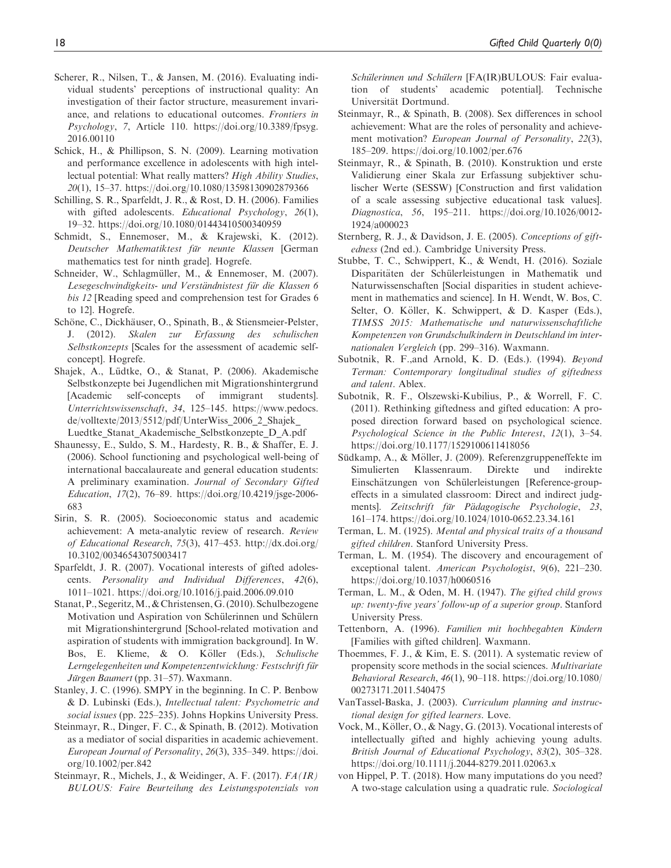- Scherer, R., Nilsen, T., & Jansen, M. (2016). Evaluating individual students' perceptions of instructional quality: An investigation of their factor structure, measurement invariance, and relations to educational outcomes. Frontiers in Psychology, 7, Article 110. [https://doi.org/10.3389/fpsyg.](https://doi.org/10.3389/fpsyg.2016.00110) [2016.00110](https://doi.org/10.3389/fpsyg.2016.00110)
- Schick, H., & Phillipson, S. N. (2009). Learning motivation and performance excellence in adolescents with high intellectual potential: What really matters? High Ability Studies, 20(1), 15–37.<https://doi.org/10.1080/13598130902879366>
- Schilling, S. R., Sparfeldt, J. R., & Rost, D. H. (2006). Families with gifted adolescents. Educational Psychology, 26(1), 19–32.<https://doi.org/10.1080/01443410500340959>
- Schmidt, S., Ennemoser, M., & Krajewski, K. (2012). Deutscher Mathematiktest für neunte Klassen [German mathematics test for ninth grade]. Hogrefe.
- Schneider, W., Schlagmüller, M., & Ennemoser, M. (2007). Lesegeschwindigkeits- und Verständnistest für die Klassen 6 bis 12 [Reading speed and comprehension test for Grades 6 to 12]. Hogrefe.
- Schöne, C., Dickhäuser, O., Spinath, B., & Stiensmeier-Pelster, (2012). Skalen zur Erfassung des schulischen Selbstkonzepts [Scales for the assessment of academic selfconcept]. Hogrefe.
- Shajek, A., Lüdtke, O., & Stanat, P. (2006). Akademische Selbstkonzepte bei Jugendlichen mit Migrationshintergrund [Academic self-concepts of immigrant students]. Unterrichtswissenschaft, 34, 125–145. [https://www.pedocs.](https://www.pedocs.de/volltexte/2013/5512/pdf/UnterWiss_2006_2_Shajek_Luedtke_Stanat_Akademische_Selbstkonzepte_D_A.pdf) [de/volltexte/2013/5512/pdf/UnterWiss\\_2006\\_2\\_Shajek\\_](https://www.pedocs.de/volltexte/2013/5512/pdf/UnterWiss_2006_2_Shajek_Luedtke_Stanat_Akademische_Selbstkonzepte_D_A.pdf) [Luedtke\\_Stanat\\_Akademische\\_Selbstkonzepte\\_D\\_A.pdf](https://www.pedocs.de/volltexte/2013/5512/pdf/UnterWiss_2006_2_Shajek_Luedtke_Stanat_Akademische_Selbstkonzepte_D_A.pdf)
- Shaunessy, E., Suldo, S. M., Hardesty, R. B., & Shaffer, E. J. (2006). School functioning and psychological well-being of international baccalaureate and general education students: A preliminary examination. Journal of Secondary Gifted Education, 17(2), 76–89. [https://doi.org/10.4219/jsge-2006-](https://doi.org/10.4219/jsge-2006-683) [683](https://doi.org/10.4219/jsge-2006-683)
- Sirin, S. R. (2005). Socioeconomic status and academic achievement: A meta-analytic review of research. Review of Educational Research, 75(3), 417–453. [http://dx.doi.org/](http://dx.doi.org/10.3102/00346543075003417) [10.3102/00346543075003417](http://dx.doi.org/10.3102/00346543075003417)
- Sparfeldt, J. R. (2007). Vocational interests of gifted adolescents. Personality and Individual Differences, 42(6), 1011–1021.<https://doi.org/10.1016/j.paid.2006.09.010>
- Stanat, P., Segeritz,M., & Christensen, G. (2010). Schulbezogene Motivation und Aspiration von Schülerinnen und Schülern mit Migrationshintergrund [School-related motivation and aspiration of students with immigration background]. In W. Bos, E. Klieme, & O. Köller (Eds.), Schulische Lerngelegenheiten und Kompetenzentwicklung: Festschrift für Jürgen Baumert (pp. 31–57). Waxmann.
- Stanley, J. C. (1996). SMPY in the beginning. In C. P. Benbow & D. Lubinski (Eds.), Intellectual talent: Psychometric and social issues (pp. 225–235). Johns Hopkins University Press.
- Steinmayr, R., Dinger, F. C., & Spinath, B. (2012). Motivation as a mediator of social disparities in academic achievement. European Journal of Personality, 26(3), 335–349. [https://doi.](https://doi.org/10.1002/per.842) [org/10.1002/per.842](https://doi.org/10.1002/per.842)
- Steinmayr, R., Michels, J., & Weidinger, A. F. (2017). FA(IR) BULOUS: Faire Beurteilung des Leistungspotenzials von

Schülerinnen und Schülern [FA(IR)BULOUS: Fair evaluation of students' academic potential]. Technische Universität Dortmund.

- Steinmayr, R., & Spinath, B. (2008). Sex differences in school achievement: What are the roles of personality and achievement motivation? European Journal of Personality, 22(3), 185–209.<https://doi.org/10.1002/per.676>
- Steinmayr, R., & Spinath, B. (2010). Konstruktion und erste Validierung einer Skala zur Erfassung subjektiver schulischer Werte (SESSW) [Construction and first validation of a scale assessing subjective educational task values]. Diagnostica, 56, 195–211. [https://doi.org/10.1026/0012-](https://doi.org/10.1026/0012-1924/a000023) [1924/a000023](https://doi.org/10.1026/0012-1924/a000023)
- Sternberg, R. J., & Davidson, J. E. (2005). Conceptions of giftedness (2nd ed.). Cambridge University Press.
- Stubbe, T. C., Schwippert, K., & Wendt, H. (2016). Soziale Disparitäten der Schülerleistungen in Mathematik und Naturwissenschaften [Social disparities in student achievement in mathematics and science]. In H. Wendt, W. Bos, C. Selter, O. Köller, K. Schwippert, & D. Kasper (Eds.), TIMSS 2015: Mathematische und naturwissenschaftliche Kompetenzen von Grundschulkindern in Deutschland im internationalen Vergleich (pp. 299–316). Waxmann.
- Subotnik, R. F.,and Arnold, K. D. (Eds.). (1994). Beyond Terman: Contemporary longitudinal studies of giftedness and talent. Ablex.
- Subotnik, R. F., Olszewski-Kubilius, P., & Worrell, F. C. (2011). Rethinking giftedness and gifted education: A proposed direction forward based on psychological science. Psychological Science in the Public Interest, 12(1), 3–54. <https://doi.org/10.1177/1529100611418056>
- Südkamp, A., & Möller, J. (2009). Referenzgruppeneffekte im Simulierten Klassenraum. Direkte und indirekte Einschätzungen von Schülerleistungen [Reference-groupeffects in a simulated classroom: Direct and indirect judgments]. Zeitschrift für Pädagogische Psychologie, 23, 161–174.<https://doi.org/10.1024/1010-0652.23.34.161>
- Terman, L. M. (1925). Mental and physical traits of a thousand gifted children. Stanford University Press.
- Terman, L. M. (1954). The discovery and encouragement of exceptional talent. American Psychologist, 9(6), 221–230. <https://doi.org/10.1037/h0060516>
- Terman, L. M., & Oden, M. H. (1947). The gifted child grows up: twenty-five years' follow-up of a superior group. Stanford University Press.
- Tettenborn, A. (1996). Familien mit hochbegabten Kindern [Families with gifted children]. Waxmann.
- Thoemmes, F. J., & Kim, E. S. (2011). A systematic review of propensity score methods in the social sciences. Multivariate Behavioral Research, 46(1), 90–118. [https://doi.org/10.1080/](https://doi.org/10.1080/00273171.2011.540475) [00273171.2011.540475](https://doi.org/10.1080/00273171.2011.540475)
- VanTassel-Baska, J. (2003). Curriculum planning and instructional design for gifted learners. Love.
- Vock, M., Köller, O., & Nagy, G. (2013). Vocational interests of intellectually gifted and highly achieving young adults. British Journal of Educational Psychology, 83(2), 305–328. <https://doi.org/10.1111/j.2044-8279.2011.02063.x>
- von Hippel, P. T. (2018). How many imputations do you need? A two-stage calculation using a quadratic rule. Sociological